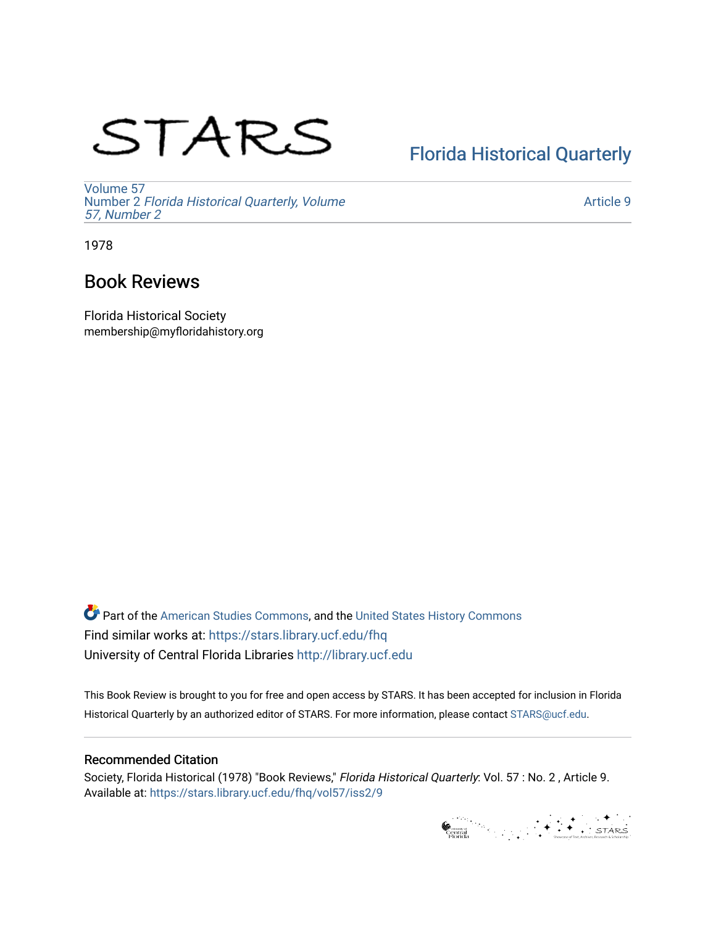# STARS

# [Florida Historical Quarterly](https://stars.library.ucf.edu/fhq)

[Volume 57](https://stars.library.ucf.edu/fhq/vol57) Number 2 [Florida Historical Quarterly, Volume](https://stars.library.ucf.edu/fhq/vol57/iss2)  [57, Number 2](https://stars.library.ucf.edu/fhq/vol57/iss2)

[Article 9](https://stars.library.ucf.edu/fhq/vol57/iss2/9) 

1978

# Book Reviews

Florida Historical Society membership@myfloridahistory.org

**C** Part of the [American Studies Commons](http://network.bepress.com/hgg/discipline/439?utm_source=stars.library.ucf.edu%2Ffhq%2Fvol57%2Fiss2%2F9&utm_medium=PDF&utm_campaign=PDFCoverPages), and the United States History Commons Find similar works at: <https://stars.library.ucf.edu/fhq> University of Central Florida Libraries [http://library.ucf.edu](http://library.ucf.edu/) 

This Book Review is brought to you for free and open access by STARS. It has been accepted for inclusion in Florida Historical Quarterly by an authorized editor of STARS. For more information, please contact [STARS@ucf.edu.](mailto:STARS@ucf.edu)

# Recommended Citation

Society, Florida Historical (1978) "Book Reviews," Florida Historical Quarterly: Vol. 57 : No. 2 , Article 9. Available at: [https://stars.library.ucf.edu/fhq/vol57/iss2/9](https://stars.library.ucf.edu/fhq/vol57/iss2/9?utm_source=stars.library.ucf.edu%2Ffhq%2Fvol57%2Fiss2%2F9&utm_medium=PDF&utm_campaign=PDFCoverPages) 

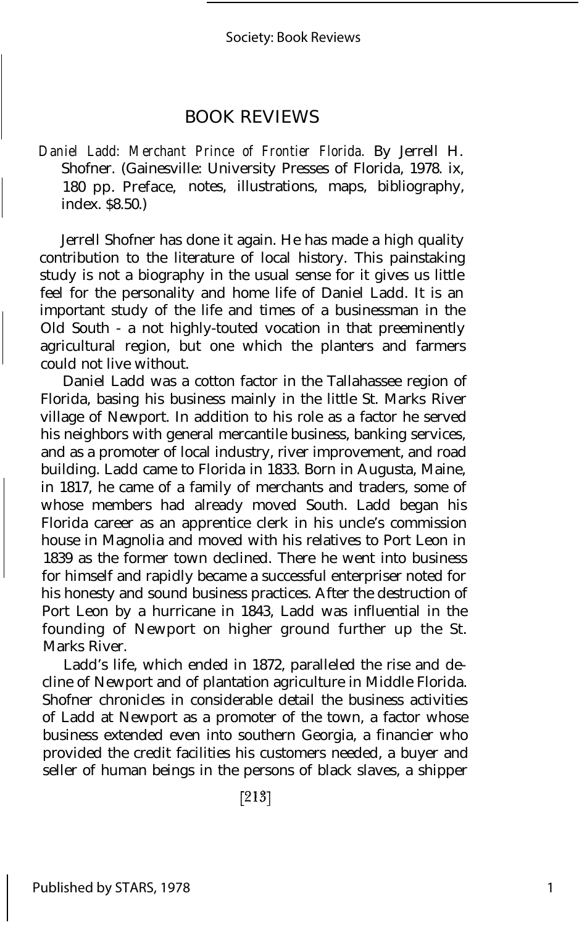# BOOK REVIEWS

*Daniel Ladd: Merchant Prince of Frontier Florida.* By Jerrell H. Shofner. (Gainesville: University Presses of Florida, 1978. ix, 180 pp. Preface, notes, illustrations, maps, bibliography, index. \$8.50.)

Jerrell Shofner has done it again. He has made a high quality contribution to the literature of local history. This painstaking study is not a biography in the usual sense for it gives us little feel for the personality and home life of Daniel Ladd. It is an important study of the life and times of a businessman in the Old South - a not highly-touted vocation in that preeminently agricultural region, but one which the planters and farmers could not live without.

Daniel Ladd was a cotton factor in the Tallahassee region of Florida, basing his business mainly in the little St. Marks River village of Newport. In addition to his role as a factor he served his neighbors with general mercantile business, banking services, and as a promoter of local industry, river improvement, and road building. Ladd came to Florida in 1833. Born in Augusta, Maine, in 1817, he came of a family of merchants and traders, some of whose members had already moved South. Ladd began his Florida career as an apprentice clerk in his uncle's commission house in Magnolia and moved with his relatives to Port Leon in 1839 as the former town declined. There he went into business for himself and rapidly became a successful enterpriser noted for his honesty and sound business practices. After the destruction of Port Leon by a hurricane in 1843, Ladd was influential in the founding of Newport on higher ground further up the St. Marks River.

Ladd's life, which ended in 1872, paralleled the rise and decline of Newport and of plantation agriculture in Middle Florida. Shofner chronicles in considerable detail the business activities of Ladd at Newport as a promoter of the town, a factor whose business extended even into southern Georgia, a financier who provided the credit facilities his customers needed, a buyer and seller of human beings in the persons of black slaves, a shipper

 $[213]$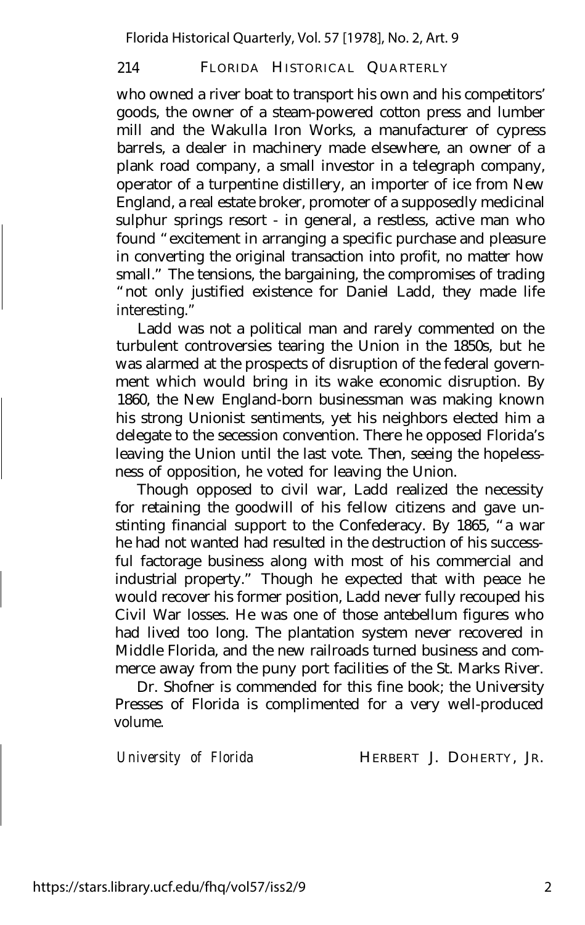who owned a river boat to transport his own and his competitors' goods, the owner of a steam-powered cotton press and lumber mill and the Wakulla Iron Works, a manufacturer of cypress barrels, a dealer in machinery made elsewhere, an owner of a plank road company, a small investor in a telegraph company, operator of a turpentine distillery, an importer of ice from New England, a real estate broker, promoter of a supposedly medicinal sulphur springs resort - in general, a restless, active man who found "excitement in arranging a specific purchase and pleasure in converting the original transaction into profit, no matter how small." The tensions, the bargaining, the compromises of trading "not only justified existence for Daniel Ladd, they made life interesting."

Ladd was not a political man and rarely commented on the turbulent controversies tearing the Union in the 1850s, but he was alarmed at the prospects of disruption of the federal government which would bring in its wake economic disruption. By 1860, the New England-born businessman was making known his strong Unionist sentiments, yet his neighbors elected him a delegate to the secession convention. There he opposed Florida's leaving the Union until the last vote. Then, seeing the hopelessness of opposition, he voted for leaving the Union.

Though opposed to civil war, Ladd realized the necessity for retaining the goodwill of his fellow citizens and gave unstinting financial support to the Confederacy. By 1865, "a war he had not wanted had resulted in the destruction of his successful factorage business along with most of his commercial and industrial property." Though he expected that with peace he would recover his former position, Ladd never fully recouped his Civil War losses. He was one of those antebellum figures who had lived too long. The plantation system never recovered in Middle Florida, and the new railroads turned business and commerce away from the puny port facilities of the St. Marks River.

Dr. Shofner is commended for this fine book; the University Presses of Florida is complimented for a very well-produced volume.

*University of Florida* HERBERT J. DOHERTY, JR.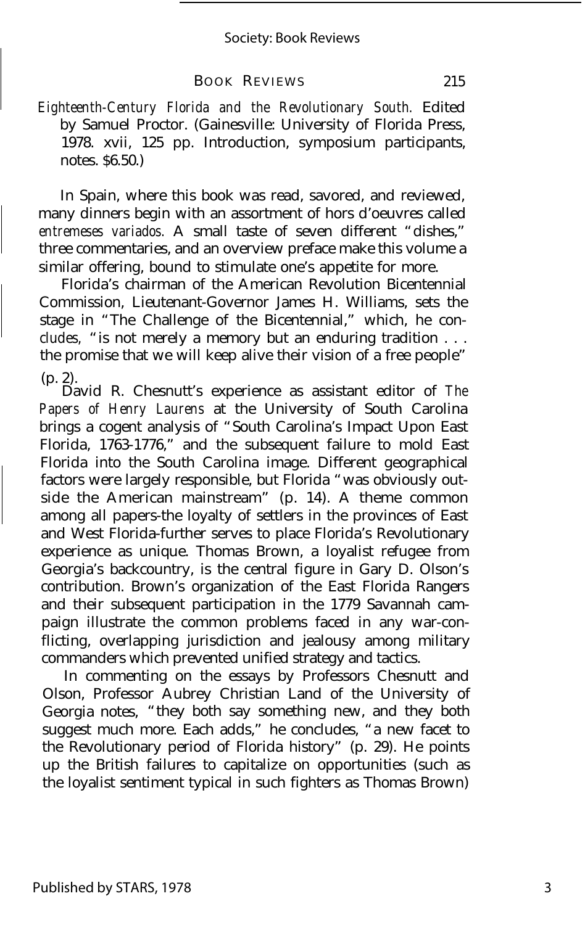#### BOOK REVIEWS 215

*Eighteenth-Century Florida and the Revolutionary South.* Edited by Samuel Proctor. (Gainesville: University of Florida Press, 1978. xvii, 125 pp. Introduction, symposium participants, notes. \$6.50.)

In Spain, where this book was read, savored, and reviewed, many dinners begin with an assortment of hors d'oeuvres called *entremeses variados.* A small taste of seven different "dishes," three commentaries, and an overview preface make this volume a similar offering, bound to stimulate one's appetite for more.

Florida's chairman of the American Revolution Bicentennial Commission, Lieutenant-Governor James H. Williams, sets the stage in "The Challenge of the Bicentennial," which, he concludes, "is not merely a memory but an enduring tradition . . . the promise that we will keep alive their vision of a free people" (p. 2).

David R. Chesnutt's experience as assistant editor of *The Papers of Henry Laurens* at the University of South Carolina brings a cogent analysis of "South Carolina's Impact Upon East Florida, 1763-1776," and the subsequent failure to mold East Florida into the South Carolina image. Different geographical factors were largely responsible, but Florida "was obviously outside the American mainstream" (p. 14). A theme common among all papers-the loyalty of settlers in the provinces of East and West Florida-further serves to place Florida's Revolutionary experience as unique. Thomas Brown, a loyalist refugee from Georgia's backcountry, is the central figure in Gary D. Olson's contribution. Brown's organization of the East Florida Rangers and their subsequent participation in the 1779 Savannah campaign illustrate the common problems faced in any war-conflicting, overlapping jurisdiction and jealousy among military commanders which prevented unified strategy and tactics.

In commenting on the essays by Professors Chesnutt and Olson, Professor Aubrey Christian Land of the University of Georgia notes, "they both say something new, and they both suggest much more. Each adds," he concludes, "a new facet to the Revolutionary period of Florida history" (p. 29). He points up the British failures to capitalize on opportunities (such as the loyalist sentiment typical in such fighters as Thomas Brown)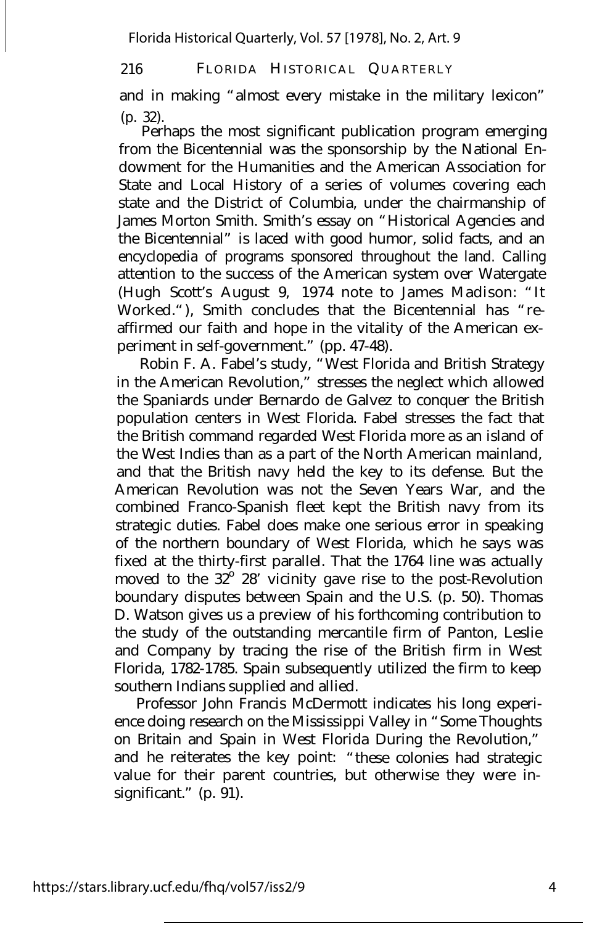Florida Historical Quarterly, Vol. 57 [1978], No. 2, Art. 9

216 FLORIDA HISTORICAL QUARTERLY

and in making "almost every mistake in the military lexicon" (p. 32).

Perhaps the most significant publication program emerging from the Bicentennial was the sponsorship by the National Endowment for the Humanities and the American Association for State and Local History of a series of volumes covering each state and the District of Columbia, under the chairmanship of James Morton Smith. Smith's essay on "Historical Agencies and the Bicentennial" is laced with good humor, solid facts, and an encyclopedia of programs sponsored throughout the land. Calling attention to the success of the American system over Watergate (Hugh Scott's August 9, 1974 note to James Madison: "It Worked."), Smith concludes that the Bicentennial has "reaffirmed our faith and hope in the vitality of the American experiment in self-government." (pp. 47-48).

Robin F. A. Fabel's study, "West Florida and British Strategy in the American Revolution," stresses the neglect which allowed the Spaniards under Bernardo de Galvez to conquer the British population centers in West Florida. Fabel stresses the fact that the British command regarded West Florida more as an island of the West Indies than as a part of the North American mainland, and that the British navy held the key to its defense. But the American Revolution was not the Seven Years War, and the combined Franco-Spanish fleet kept the British navy from its strategic duties. Fabel does make one serious error in speaking of the northern boundary of West Florida, which he says was fixed at the thirty-first parallel. That the 1764 line was actually moved to the  $32^{\circ}$  28' vicinity gave rise to the post-Revolution boundary disputes between Spain and the U.S. (p. 50). Thomas D. Watson gives us a preview of his forthcoming contribution to the study of the outstanding mercantile firm of Panton, Leslie and Company by tracing the rise of the British firm in West Florida, 1782-1785. Spain subsequently utilized the firm to keep southern Indians supplied and allied.

Professor John Francis McDermott indicates his long experience doing research on the Mississippi Valley in "Some Thoughts on Britain and Spain in West Florida During the Revolution," and he reiterates the key point: "these colonies had strategic value for their parent countries, but otherwise they were insignificant." (p. 91).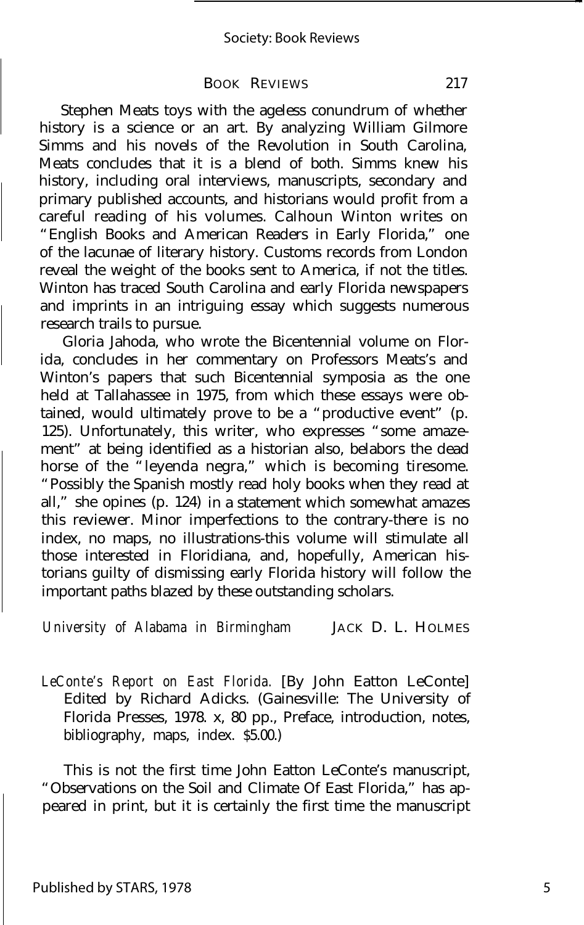#### BOOK REVIEWS 217

Stephen Meats toys with the ageless conundrum of whether history is a science or an art. By analyzing William Gilmore Simms and his novels of the Revolution in South Carolina, Meats concludes that it is a blend of both. Simms knew his history, including oral interviews, manuscripts, secondary and primary published accounts, and historians would profit from a careful reading of his volumes. Calhoun Winton writes on "English Books and American Readers in Early Florida," one of the lacunae of literary history. Customs records from London reveal the weight of the books sent to America, if not the titles. Winton has traced South Carolina and early Florida newspapers and imprints in an intriguing essay which suggests numerous research trails to pursue.

Gloria Jahoda, who wrote the Bicentennial volume on Florida, concludes in her commentary on Professors Meats's and Winton's papers that such Bicentennial symposia as the one held at Tallahassee in 1975, from which these essays were obtained, would ultimately prove to be a "productive event" (p. 125). Unfortunately, this writer, who expresses "some amazement" at being identified as a historian also, belabors the dead horse of the "leyenda negra," which is becoming tiresome. "Possibly the Spanish mostly read holy books when they read at all," she opines (p. 124) in a statement which somewhat amazes this reviewer. Minor imperfections to the contrary-there is no index, no maps, no illustrations-this volume will stimulate all those interested in Floridiana, and, hopefully, American historians guilty of dismissing early Florida history will follow the important paths blazed by these outstanding scholars.

*University of Alabama in Birmingham* JACK D. L. HOLMES

*LeConte's Report on East Florida.* [By John Eatton LeConte] Edited by Richard Adicks. (Gainesville: The University of Florida Presses, 1978. x, 80 pp., Preface, introduction, notes, bibliography, maps, index. \$5.00.)

This is not the first time John Eatton LeConte's manuscript, "Observations on the Soil and Climate Of East Florida," has appeared in print, but it is certainly the first time the manuscript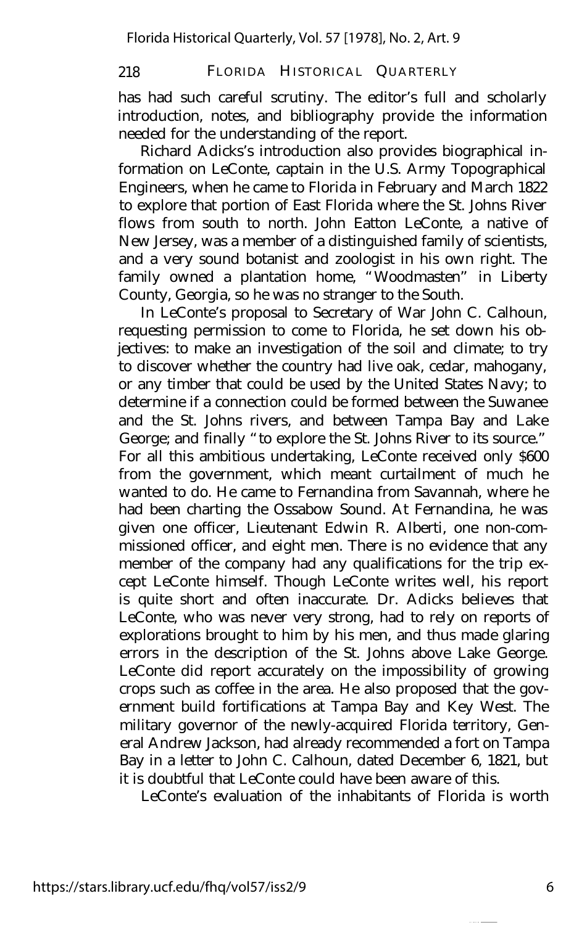has had such careful scrutiny. The editor's full and scholarly introduction, notes, and bibliography provide the information needed for the understanding of the report.

Richard Adicks's introduction also provides biographical information on LeConte, captain in the U.S. Army Topographical Engineers, when he came to Florida in February and March 1822 to explore that portion of East Florida where the St. Johns River flows from south to north. John Eatton LeConte, a native of New Jersey, was a member of a distinguished family of scientists, and a very sound botanist and zoologist in his own right. The family owned a plantation home, "Woodmasten" in Liberty County, Georgia, so he was no stranger to the South.

In LeConte's proposal to Secretary of War John C. Calhoun, requesting permission to come to Florida, he set down his objectives: to make an investigation of the soil and climate; to try to discover whether the country had live oak, cedar, mahogany, or any timber that could be used by the United States Navy; to determine if a connection could be formed between the Suwanee and the St. Johns rivers, and between Tampa Bay and Lake George; and finally "to explore the St. Johns River to its source." For all this ambitious undertaking, LeConte received only \$600 from the government, which meant curtailment of much he wanted to do. He came to Fernandina from Savannah, where he had been charting the Ossabow Sound. At Fernandina, he was given one officer, Lieutenant Edwin R. Alberti, one non-commissioned officer, and eight men. There is no evidence that any member of the company had any qualifications for the trip except LeConte himself. Though LeConte writes well, his report is quite short and often inaccurate. Dr. Adicks believes that LeConte, who was never very strong, had to rely on reports of explorations brought to him by his men, and thus made glaring errors in the description of the St. Johns above Lake George. LeConte did report accurately on the impossibility of growing crops such as coffee in the area. He also proposed that the government build fortifications at Tampa Bay and Key West. The military governor of the newly-acquired Florida territory, General Andrew Jackson, had already recommended a fort on Tampa Bay in a letter to John C. Calhoun, dated December 6, 1821, but it is doubtful that LeConte could have been aware of this.

LeConte's evaluation of the inhabitants of Florida is worth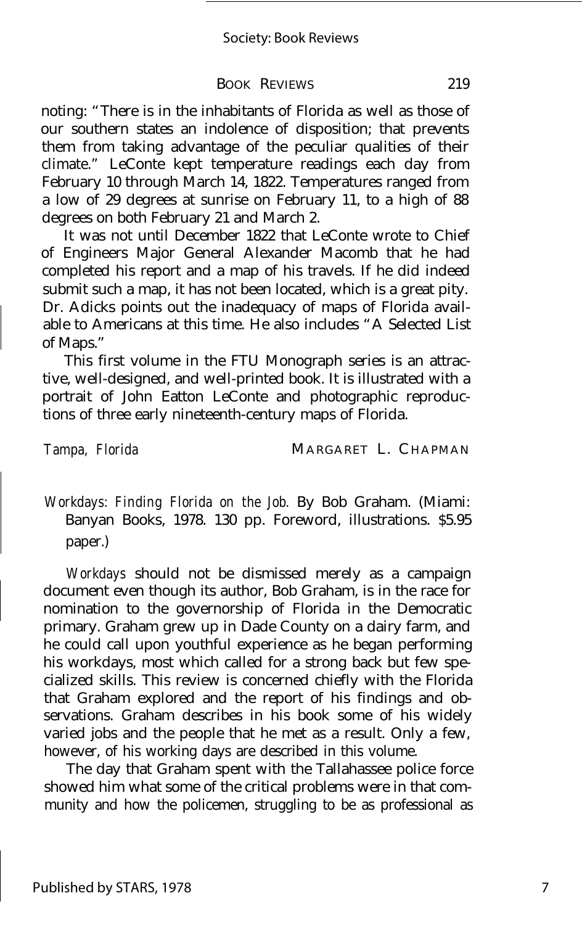#### BOOK REVIEWS 219

noting: "There is in the inhabitants of Florida as well as those of our southern states an indolence of disposition; that prevents them from taking advantage of the peculiar qualities of their climate." LeConte kept temperature readings each day from February 10 through March 14, 1822. Temperatures ranged from a low of 29 degrees at sunrise on February 11, to a high of 88 degrees on both February 21 and March 2.

It was not until December 1822 that LeConte wrote to Chief of Engineers Major General Alexander Macomb that he had completed his report and a map of his travels. If he did indeed submit such a map, it has not been located, which is a great pity. Dr. Adicks points out the inadequacy of maps of Florida available to Americans at this time. He also includes "A Selected List of Maps."

This first volume in the FTU Monograph series is an attractive, well-designed, and well-printed book. It is illustrated with a portrait of John Eatton LeConte and photographic reproductions of three early nineteenth-century maps of Florida.

*Tampa, Florida* MARGARET L. C HAPMAN

*Workdays: Finding Florida on the Job.* By Bob Graham. (Miami: Banyan Books, 1978. 130 pp. Foreword, illustrations. \$5.95 paper.)

*Workdays* should not be dismissed merely as a campaign document even though its author, Bob Graham, is in the race for nomination to the governorship of Florida in the Democratic primary. Graham grew up in Dade County on a dairy farm, and he could call upon youthful experience as he began performing his workdays, most which called for a strong back but few specialized skills. This review is concerned chiefly with the Florida that Graham explored and the report of his findings and observations. Graham describes in his book some of his widely varied jobs and the people that he met as a result. Only a few, however, of his working days are described in this volume.

The day that Graham spent with the Tallahassee police force showed him what some of the critical problems were in that community and how the policemen, struggling to be as professional as

Published by STARS, 1978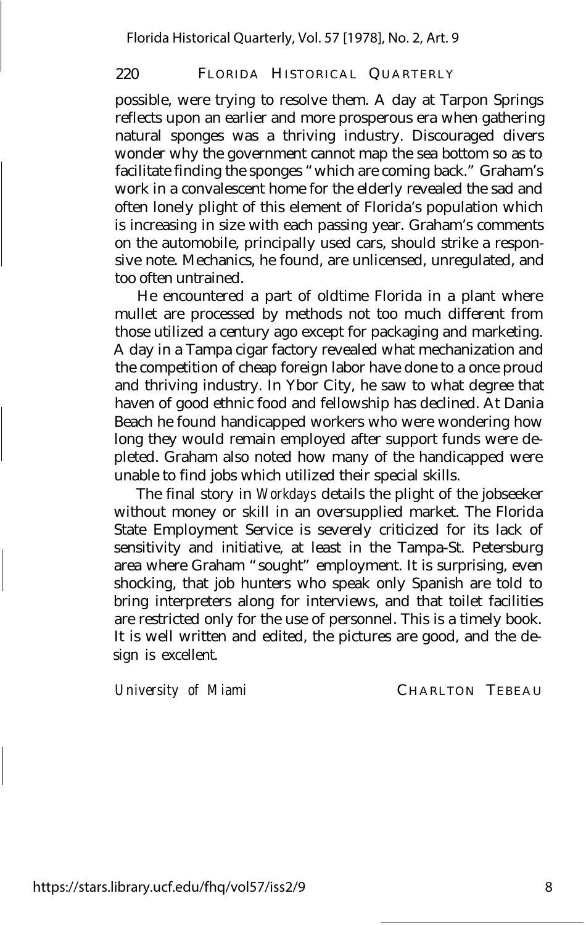possible, were trying to resolve them. A day at Tarpon Springs reflects upon an earlier and more prosperous era when gathering natural sponges was a thriving industry. Discouraged divers wonder why the government cannot map the sea bottom so as to facilitate finding the sponges "which are coming back." Graham's work in a convalescent home for the elderly revealed the sad and often lonely plight of this element of Florida's population which is increasing in size with each passing year. Graham's comments on the automobile, principally used cars, should strike a responsive note. Mechanics, he found, are unlicensed, unregulated, and too often untrained.

He encountered a part of oldtime Florida in a plant where mullet are processed by methods not too much different from those utilized a century ago except for packaging and marketing. A day in a Tampa cigar factory revealed what mechanization and the competition of cheap foreign labor have done to a once proud and thriving industry. In Ybor City, he saw to what degree that haven of good ethnic food and fellowship has declined. At Dania Beach he found handicapped workers who were wondering how long they would remain employed after support funds were depleted. Graham also noted how many of the handicapped were unable to find jobs which utilized their special skills.

The final story in *Workdays* details the plight of the jobseeker without money or skill in an oversupplied market. The Florida State Employment Service is severely criticized for its lack of sensitivity and initiative, at least in the Tampa-St. Petersburg area where Graham "sought" employment. It is surprising, even shocking, that job hunters who speak only Spanish are told to bring interpreters along for interviews, and that toilet facilities are restricted only for the use of personnel. This is a timely book. It is well written and edited, the pictures are good, and the design is excellent.

*University of Miami* CHARLTON TEBEAU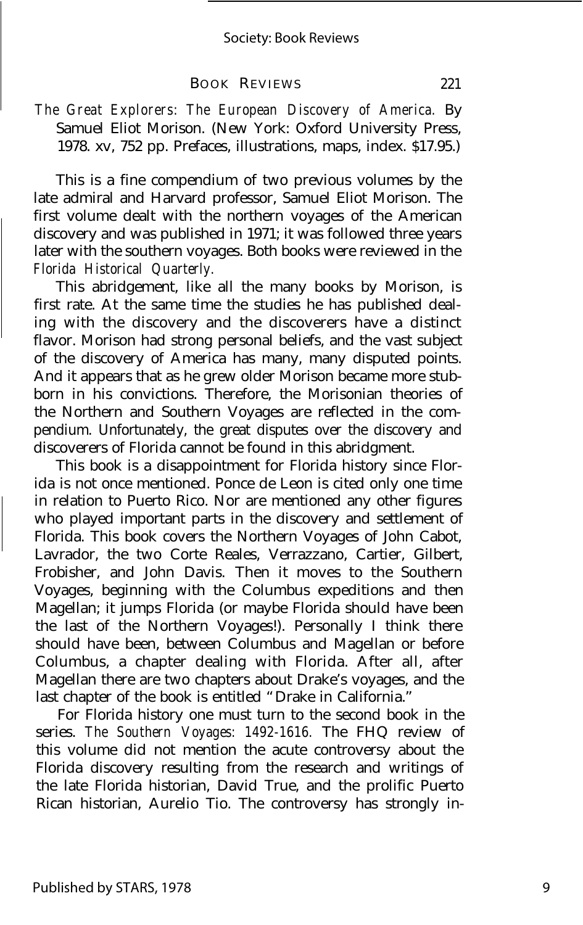#### BOOK REVIEWS 221

*The Great Explorers: The European Discovery of America.* By Samuel Eliot Morison. (New York: Oxford University Press, 1978. xv, 752 pp. Prefaces, illustrations, maps, index. \$17.95.)

This is a fine compendium of two previous volumes by the late admiral and Harvard professor, Samuel Eliot Morison. The first volume dealt with the northern voyages of the American discovery and was published in 1971; it was followed three years later with the southern voyages. Both books were reviewed in the *Florida Historical Quarterly.*

This abridgement, like all the many books by Morison, is first rate. At the same time the studies he has published dealing with the discovery and the discoverers have a distinct flavor. Morison had strong personal beliefs, and the vast subject of the discovery of America has many, many disputed points. And it appears that as he grew older Morison became more stubborn in his convictions. Therefore, the Morisonian theories of the Northern and Southern Voyages are reflected in the compendium. Unfortunately, the great disputes over the discovery and discoverers of Florida cannot be found in this abridgment.

This book is a disappointment for Florida history since Florida is not once mentioned. Ponce de Leon is cited only one time in relation to Puerto Rico. Nor are mentioned any other figures who played important parts in the discovery and settlement of Florida. This book covers the Northern Voyages of John Cabot, Lavrador, the two Corte Reales, Verrazzano, Cartier, Gilbert, Frobisher, and John Davis. Then it moves to the Southern Voyages, beginning with the Columbus expeditions and then Magellan; it jumps Florida (or maybe Florida should have been the last of the Northern Voyages!). Personally I think there should have been, between Columbus and Magellan or before Columbus, a chapter dealing with Florida. After all, after Magellan there are two chapters about Drake's voyages, and the last chapter of the book is entitled "Drake in California."

For Florida history one must turn to the second book in the series. *The Southern Voyages: 1492-1616.* The FHQ review of this volume did not mention the acute controversy about the Florida discovery resulting from the research and writings of the late Florida historian, David True, and the prolific Puerto Rican historian, Aurelio Tio. The controversy has strongly in-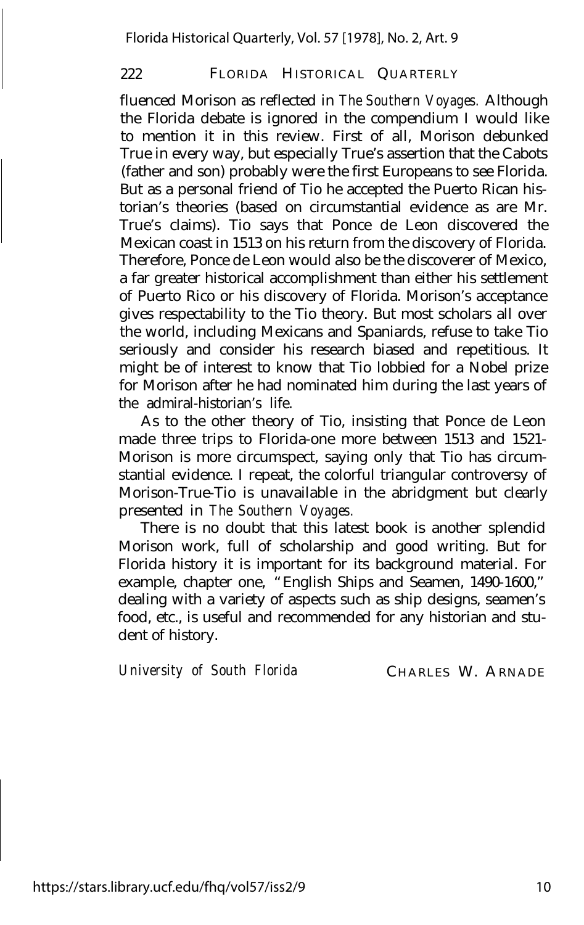fluenced Morison as reflected in *The Southern Voyages.* Although the Florida debate is ignored in the compendium I would like to mention it in this review. First of all, Morison debunked True in every way, but especially True's assertion that the Cabots (father and son) probably were the first Europeans to see Florida. But as a personal friend of Tio he accepted the Puerto Rican historian's theories (based on circumstantial evidence as are Mr. True's claims). Tio says that Ponce de Leon discovered the Mexican coast in 1513 on his return from the discovery of Florida. Therefore, Ponce de Leon would also be the discoverer of Mexico, a far greater historical accomplishment than either his settlement of Puerto Rico or his discovery of Florida. Morison's acceptance gives respectability to the Tio theory. But most scholars all over the world, including Mexicans and Spaniards, refuse to take Tio seriously and consider his research biased and repetitious. It might be of interest to know that Tio lobbied for a Nobel prize for Morison after he had nominated him during the last years of the admiral-historian's life.

As to the other theory of Tio, insisting that Ponce de Leon made three trips to Florida-one more between 1513 and 1521- Morison is more circumspect, saying only that Tio has circumstantial evidence. I repeat, the colorful triangular controversy of Morison-True-Tio is unavailable in the abridgment but clearly presented in *The Southern Voyages.*

There is no doubt that this latest book is another splendid Morison work, full of scholarship and good writing. But for Florida history it is important for its background material. For example, chapter one, "English Ships and Seamen, 1490-1600," dealing with a variety of aspects such as ship designs, seamen's food, etc., is useful and recommended for any historian and student of history.

*University of South Florida* CHARLES W. ARNADE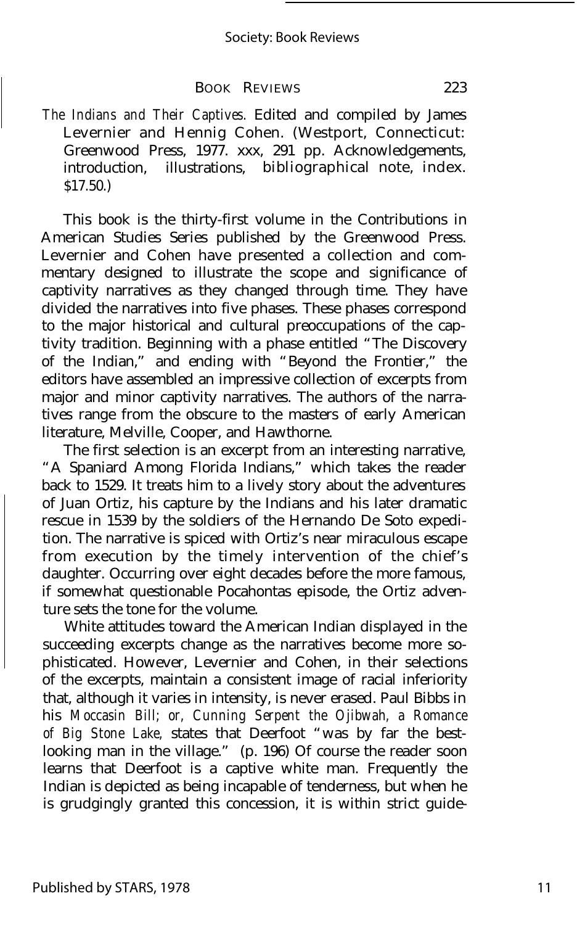#### BOOK REVIEWS 223

*The Indians and Their Captives.* Edited and compiled by James Levernier and Hennig Cohen. (Westport, Connecticut: Greenwood Press, 1977. xxx, 291 pp. Acknowledgements, introduction, illustrations, bibliographical note, index. \$17.50.)

This book is the thirty-first volume in the Contributions in American Studies Series published by the Greenwood Press. Levernier and Cohen have presented a collection and commentary designed to illustrate the scope and significance of captivity narratives as they changed through time. They have divided the narratives into five phases. These phases correspond to the major historical and cultural preoccupations of the captivity tradition. Beginning with a phase entitled "The Discovery of the Indian," and ending with "Beyond the Frontier," the editors have assembled an impressive collection of excerpts from major and minor captivity narratives. The authors of the narratives range from the obscure to the masters of early American literature, Melville, Cooper, and Hawthorne.

The first selection is an excerpt from an interesting narrative, "A Spaniard Among Florida Indians," which takes the reader back to 1529. It treats him to a lively story about the adventures of Juan Ortiz, his capture by the Indians and his later dramatic rescue in 1539 by the soldiers of the Hernando De Soto expedition. The narrative is spiced with Ortiz's near miraculous escape from execution by the timely intervention of the chief's daughter. Occurring over eight decades before the more famous, if somewhat questionable Pocahontas episode, the Ortiz adventure sets the tone for the volume.

White attitudes toward the American Indian displayed in the succeeding excerpts change as the narratives become more sophisticated. However, Levernier and Cohen, in their selections of the excerpts, maintain a consistent image of racial inferiority that, although it varies in intensity, is never erased. Paul Bibbs in his *Moccasin Bill; or, Cunning Serpent the Ojibwah, a Romance of Big Stone Lake,* states that Deerfoot "was by far the bestlooking man in the village." (p. 196) Of course the reader soon learns that Deerfoot is a captive white man. Frequently the Indian is depicted as being incapable of tenderness, but when he is grudgingly granted this concession, it is within strict guide-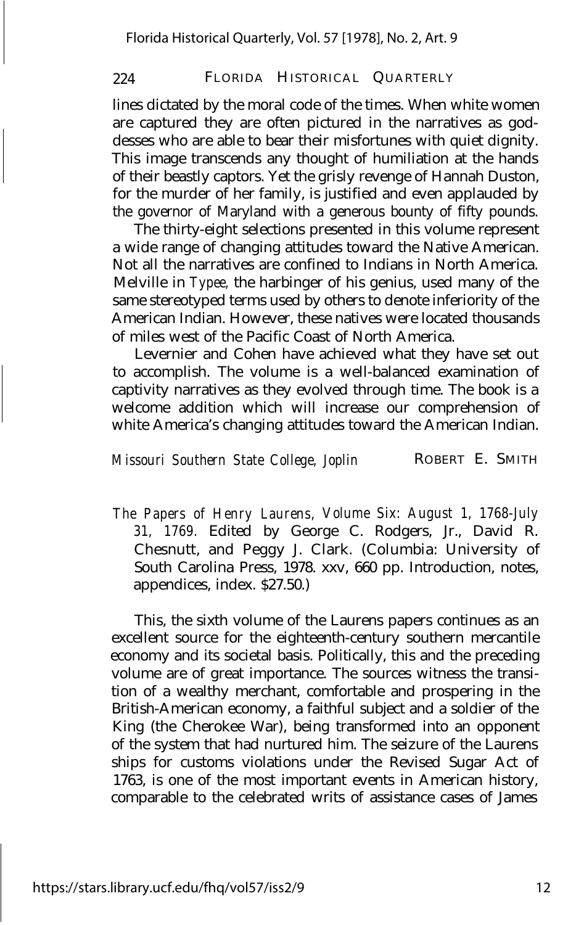lines dictated by the moral code of the times. When white women are captured they are often pictured in the narratives as goddesses who are able to bear their misfortunes with quiet dignity. This image transcends any thought of humiliation at the hands of their beastly captors. Yet the grisly revenge of Hannah Duston, for the murder of her family, is justified and even applauded by the governor of Maryland with a generous bounty of fifty pounds.

The thirty-eight selections presented in this volume represent a wide range of changing attitudes toward the Native American. Not all the narratives are confined to Indians in North America. Melville in *Typee,* the harbinger of his genius, used many of the same stereotyped terms used by others to denote inferiority of the American Indian. However, these natives were located thousands of miles west of the Pacific Coast of North America.

Levernier and Cohen have achieved what they have set out to accomplish. The volume is a well-balanced examination of captivity narratives as they evolved through time. The book is a welcome addition which will increase our comprehension of white America's changing attitudes toward the American Indian.

# *Missouri Southern State College, Joplin* ROBERT E. SMITH

*The Papers of Henry Laurens, Volume Six: August 1, 1768-July 31, 1769.* Edited by George C. Rodgers, Jr., David R. Chesnutt, and Peggy J. Clark. (Columbia: University of South Carolina Press, 1978. xxv, 660 pp. Introduction, notes, appendices, index. \$27.50.)

This, the sixth volume of the Laurens papers continues as an excellent source for the eighteenth-century southern mercantile economy and its societal basis. Politically, this and the preceding volume are of great importance. The sources witness the transition of a wealthy merchant, comfortable and prospering in the British-American economy, a faithful subject and a soldier of the King (the Cherokee War), being transformed into an opponent of the system that had nurtured him. The seizure of the Laurens ships for customs violations under the Revised Sugar Act of 1763, is one of the most important events in American history, comparable to the celebrated writs of assistance cases of James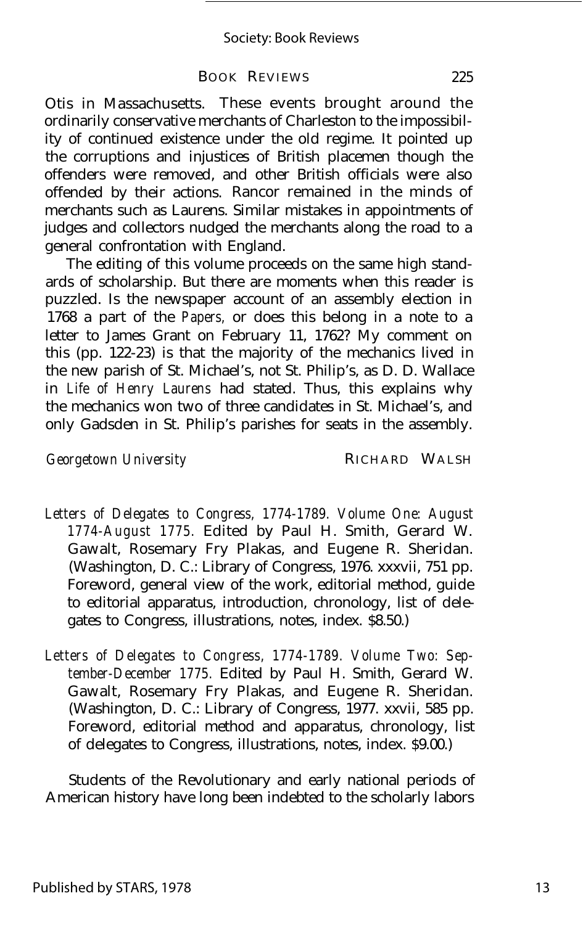### BOOK REVIEWS 225

Otis in Massachusetts. These events brought around the ordinarily conservative merchants of Charleston to the impossibility of continued existence under the old regime. It pointed up the corruptions and injustices of British placemen though the offenders were removed, and other British officials were also offended by their actions. Rancor remained in the minds of merchants such as Laurens. Similar mistakes in appointments of judges and collectors nudged the merchants along the road to a general confrontation with England.

The editing of this volume proceeds on the same high standards of scholarship. But there are moments when this reader is puzzled. Is the newspaper account of an assembly election in 1768 a part of the *Papers,* or does this belong in a note to a letter to James Grant on February 11, 1762? My comment on this (pp. 122-23) is that the majority of the mechanics lived in the new parish of St. Michael's, not St. Philip's, as D. D. Wallace in *Life of Henry Laurens* had stated. Thus, this explains why the mechanics won two of three candidates in St. Michael's, and only Gadsden in St. Philip's parishes for seats in the assembly.

Georgetown University **RICHARD** WALSH

- *Letters of Delegates to Congress, 1774-1789. Volume One: August 1774-August 1775.* Edited by Paul H. Smith, Gerard W. Gawalt, Rosemary Fry Plakas, and Eugene R. Sheridan. (Washington, D. C.: Library of Congress, 1976. xxxvii, 751 pp. Foreword, general view of the work, editorial method, guide to editorial apparatus, introduction, chronology, list of delegates to Congress, illustrations, notes, index. \$8.50.)
- *Letters of Delegates to Congress, 1774-1789. Volume Two: September-December 1775.* Edited by Paul H. Smith, Gerard W. Gawalt, Rosemary Fry Plakas, and Eugene R. Sheridan. (Washington, D. C.: Library of Congress, 1977. xxvii, 585 pp. Foreword, editorial method and apparatus, chronology, list of delegates to Congress, illustrations, notes, index. \$9.00.)

Students of the Revolutionary and early national periods of American history have long been indebted to the scholarly labors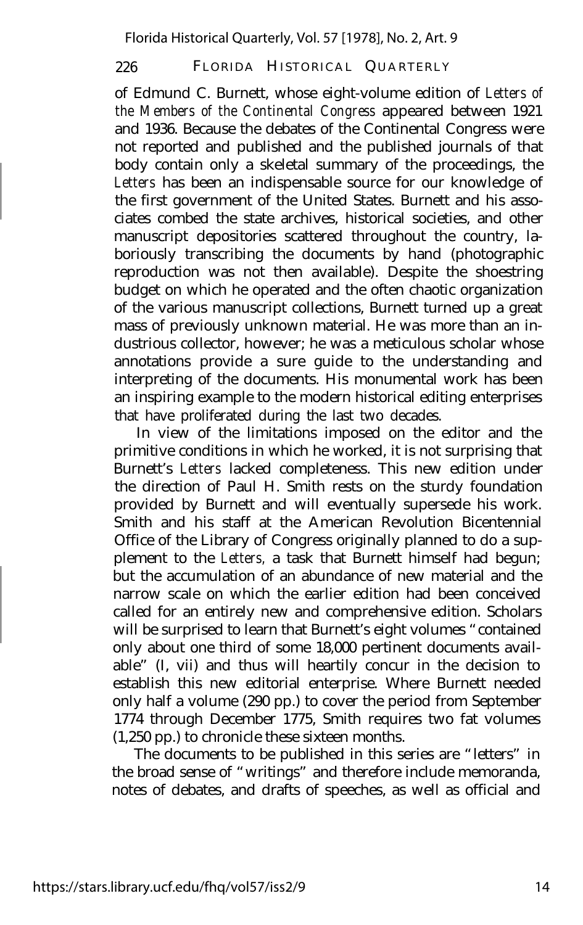Florida Historical Quarterly, Vol. 57 [1978], No. 2, Art. 9

# 226 FLORIDA HISTORICAL QUARTERLY

of Edmund C. Burnett, whose eight-volume edition of *Letters of the Members of the Continental Congress* appeared between 1921 and 1936. Because the debates of the Continental Congress were not reported and published and the published journals of that body contain only a skeletal summary of the proceedings, the *Letters* has been an indispensable source for our knowledge of the first government of the United States. Burnett and his associates combed the state archives, historical societies, and other manuscript depositories scattered throughout the country, laboriously transcribing the documents by hand (photographic reproduction was not then available). Despite the shoestring budget on which he operated and the often chaotic organization of the various manuscript collections, Burnett turned up a great mass of previously unknown material. He was more than an industrious collector, however; he was a meticulous scholar whose annotations provide a sure guide to the understanding and interpreting of the documents. His monumental work has been an inspiring example to the modern historical editing enterprises that have proliferated during the last two decades.

In view of the limitations imposed on the editor and the primitive conditions in which he worked, it is not surprising that Burnett's *Letters* lacked completeness. This new edition under the direction of Paul H. Smith rests on the sturdy foundation provided by Burnett and will eventually supersede his work. Smith and his staff at the American Revolution Bicentennial Office of the Library of Congress originally planned to do a supplement to the *Letters,* a task that Burnett himself had begun; but the accumulation of an abundance of new material and the narrow scale on which the earlier edition had been conceived called for an entirely new and comprehensive edition. Scholars will be surprised to learn that Burnett's eight volumes "contained only about one third of some 18,000 pertinent documents available" (I, vii) and thus will heartily concur in the decision to establish this new editorial enterprise. Where Burnett needed only half a volume (290 pp.) to cover the period from September 1774 through December 1775, Smith requires two fat volumes (1,250 pp.) to chronicle these sixteen months.

The documents to be published in this series are "letters" in the broad sense of "writings" and therefore include memoranda, notes of debates, and drafts of speeches, as well as official and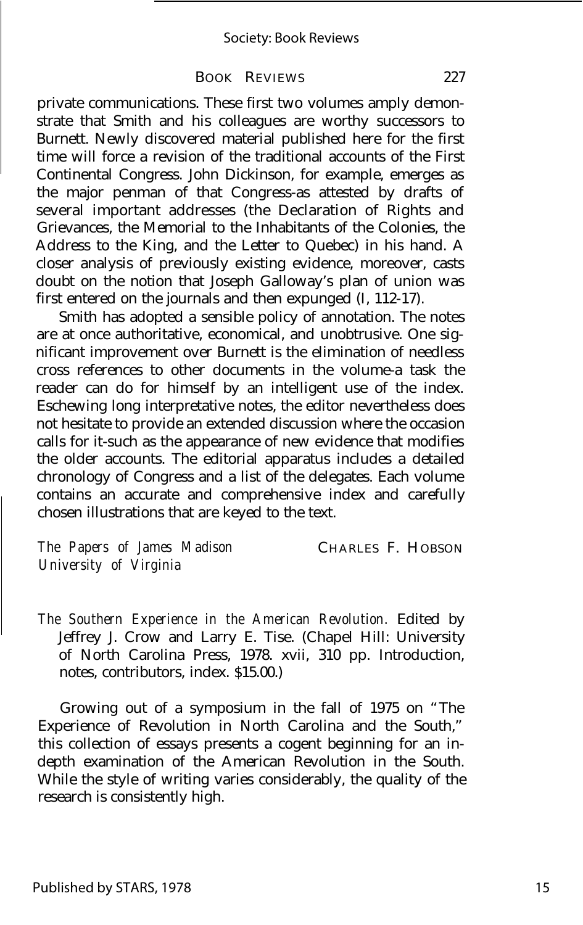#### BOOK REVIEWS 227

private communications. These first two volumes amply demonstrate that Smith and his colleagues are worthy successors to Burnett. Newly discovered material published here for the first time will force a revision of the traditional accounts of the First Continental Congress. John Dickinson, for example, emerges as the major penman of that Congress-as attested by drafts of several important addresses (the Declaration of Rights and Grievances, the Memorial to the Inhabitants of the Colonies, the Address to the King, and the Letter to Quebec) in his hand. A closer analysis of previously existing evidence, moreover, casts doubt on the notion that Joseph Galloway's plan of union was first entered on the journals and then expunged (I, 112-17).

Smith has adopted a sensible policy of annotation. The notes are at once authoritative, economical, and unobtrusive. One significant improvement over Burnett is the elimination of needless cross references to other documents in the volume-a task the reader can do for himself by an intelligent use of the index. Eschewing long interpretative notes, the editor nevertheless does not hesitate to provide an extended discussion where the occasion calls for it-such as the appearance of new evidence that modifies the older accounts. The editorial apparatus includes a detailed chronology of Congress and a list of the delegates. Each volume contains an accurate and comprehensive index and carefully chosen illustrations that are keyed to the text.

*The Papers of James Madison University of Virginia*

CHARLES F. HOBSON

*The Southern Experience in the American Revolution.* Edited by Jeffrey J. Crow and Larry E. Tise. (Chapel Hill: University of North Carolina Press, 1978. xvii, 310 pp. Introduction, notes, contributors, index. \$15.00.)

Growing out of a symposium in the fall of 1975 on "The Experience of Revolution in North Carolina and the South," this collection of essays presents a cogent beginning for an indepth examination of the American Revolution in the South. While the style of writing varies considerably, the quality of the research is consistently high.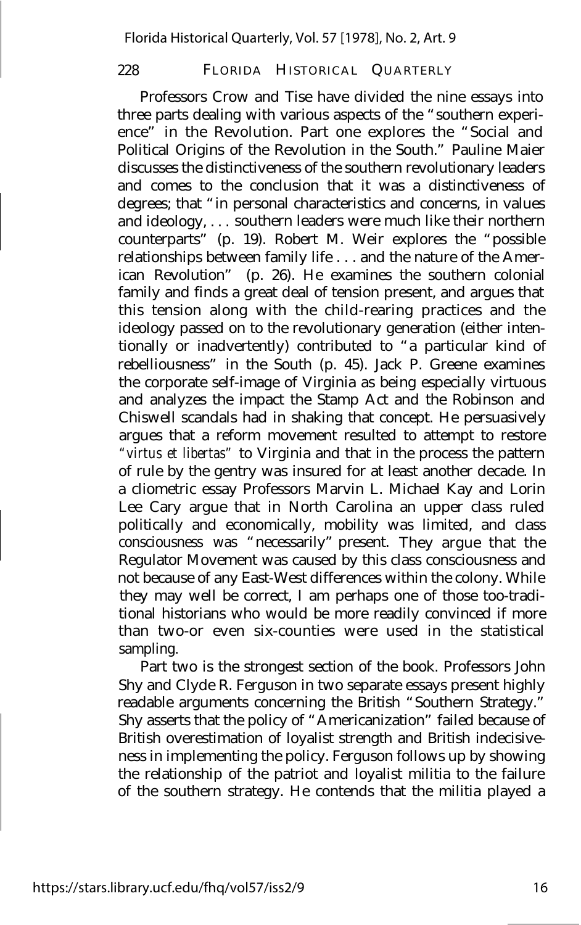Professors Crow and Tise have divided the nine essays into three parts dealing with various aspects of the "southern experience" in the Revolution. Part one explores the "Social and Political Origins of the Revolution in the South." Pauline Maier discusses the distinctiveness of the southern revolutionary leaders and comes to the conclusion that it was a distinctiveness of degrees; that "in personal characteristics and concerns, in values and ideology, . . . southern leaders were much like their northern counterparts" (p. 19). Robert M. Weir explores the "possible relationships between family life . . . and the nature of the American Revolution" (p. 26). He examines the southern colonial family and finds a great deal of tension present, and argues that this tension along with the child-rearing practices and the ideology passed on to the revolutionary generation (either intentionally or inadvertently) contributed to "a particular kind of rebelliousness" in the South (p. 45). Jack P. Greene examines the corporate self-image of Virginia as being especially virtuous and analyzes the impact the Stamp Act and the Robinson and Chiswell scandals had in shaking that concept. He persuasively argues that a reform movement resulted to attempt to restore *"virtus et libertas"* to Virginia and that in the process the pattern of rule by the gentry was insured for at least another decade. In a cliometric essay Professors Marvin L. Michael Kay and Lorin Lee Cary argue that in North Carolina an upper class ruled politically and economically, mobility was limited, and class consciousness was "necessarily" present. They argue that the Regulator Movement was caused by this class consciousness and not because of any East-West differences within the colony. While they may well be correct, I am perhaps one of those too-traditional historians who would be more readily convinced if more than two-or even six-counties were used in the statistical sampling.

Part two is the strongest section of the book. Professors John Shy and Clyde R. Ferguson in two separate essays present highly readable arguments concerning the British "Southern Strategy." Shy asserts that the policy of "Americanization" failed because of British overestimation of loyalist strength and British indecisiveness in implementing the policy. Ferguson follows up by showing the relationship of the patriot and loyalist militia to the failure of the southern strategy. He contends that the militia played a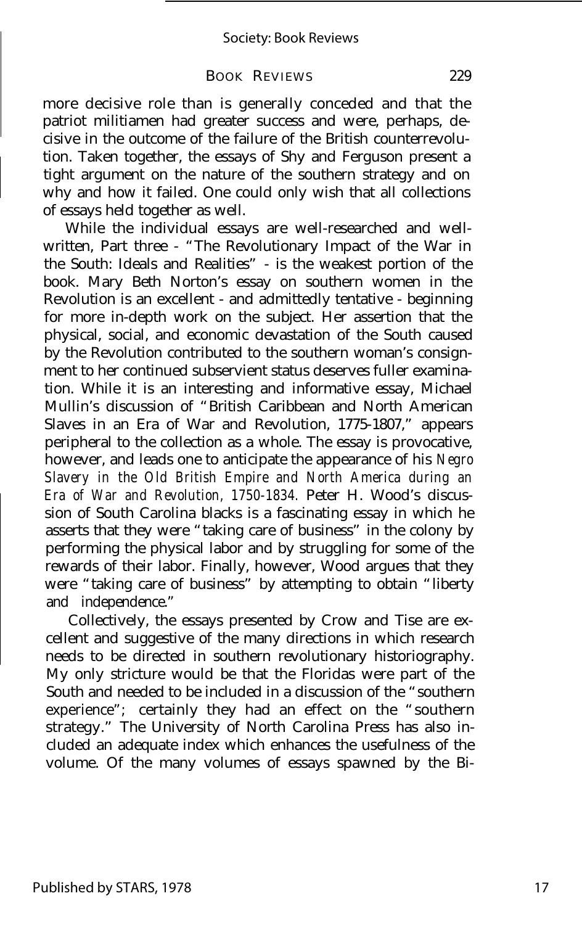#### BOOK REVIEWS 229

more decisive role than is generally conceded and that the patriot militiamen had greater success and were, perhaps, decisive in the outcome of the failure of the British counterrevolution. Taken together, the essays of Shy and Ferguson present a tight argument on the nature of the southern strategy and on why and how it failed. One could only wish that all collections of essays held together as well.

While the individual essays are well-researched and wellwritten, Part three - "The Revolutionary Impact of the War in the South: Ideals and Realities" - is the weakest portion of the book. Mary Beth Norton's essay on southern women in the Revolution is an excellent - and admittedly tentative - beginning for more in-depth work on the subject. Her assertion that the physical, social, and economic devastation of the South caused by the Revolution contributed to the southern woman's consignment to her continued subservient status deserves fuller examination. While it is an interesting and informative essay, Michael Mullin's discussion of "British Caribbean and North American Slaves in an Era of War and Revolution, 1775-1807," appears peripheral to the collection as a whole. The essay is provocative, however, and leads one to anticipate the appearance of his *Negro Slavery in the Old British Empire and North America during an Era of War and Revolution, 1750-1834.* Peter H. Wood's discussion of South Carolina blacks is a fascinating essay in which he asserts that they were "taking care of business" in the colony by performing the physical labor and by struggling for some of the rewards of their labor. Finally, however, Wood argues that they were "taking care of business" by attempting to obtain "liberty and independence."

Collectively, the essays presented by Crow and Tise are excellent and suggestive of the many directions in which research needs to be directed in southern revolutionary historiography. My only stricture would be that the Floridas were part of the South and needed to be included in a discussion of the "southern experience"; certainly they had an effect on the "southern strategy." The University of North Carolina Press has also included an adequate index which enhances the usefulness of the volume. Of the many volumes of essays spawned by the Bi-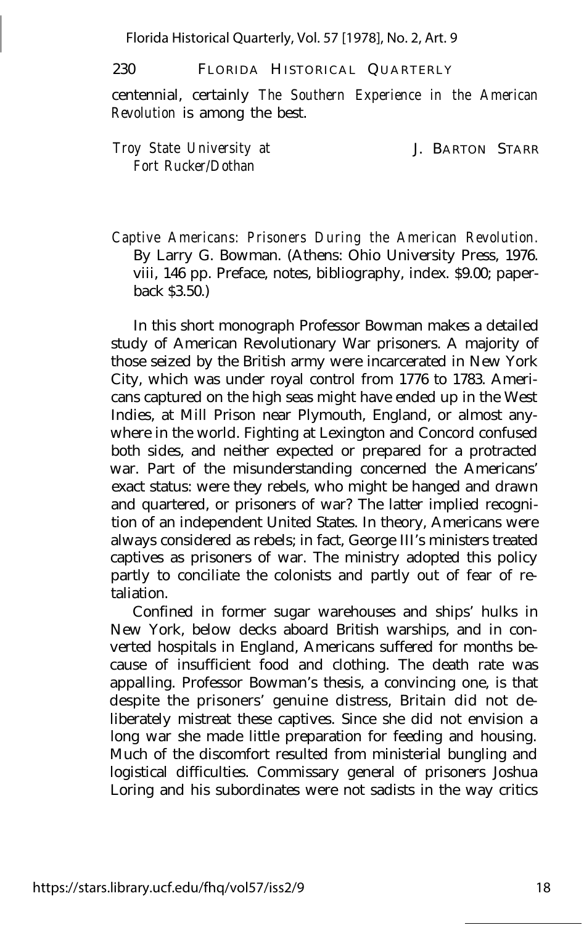Florida Historical Quarterly, Vol. 57 [1978], No. 2, Art. 9

230 FLORIDA HISTORICAL QUARTERLY

centennial, certainly *The Southern Experience in the American Revolution* is among the best.

*Troy State University at Fort Rucker/Dothan*  J. BARTON STARR

*Captive Americans: Prisoners During the American Revolution.* By Larry G. Bowman. (Athens: Ohio University Press, 1976. viii, 146 pp. Preface, notes, bibliography, index. \$9.00; paperback \$3.50.)

In this short monograph Professor Bowman makes a detailed study of American Revolutionary War prisoners. A majority of those seized by the British army were incarcerated in New York City, which was under royal control from 1776 to 1783. Americans captured on the high seas might have ended up in the West Indies, at Mill Prison near Plymouth, England, or almost anywhere in the world. Fighting at Lexington and Concord confused both sides, and neither expected or prepared for a protracted war. Part of the misunderstanding concerned the Americans' exact status: were they rebels, who might be hanged and drawn and quartered, or prisoners of war? The latter implied recognition of an independent United States. In theory, Americans were always considered as rebels; in fact, George III's ministers treated captives as prisoners of war. The ministry adopted this policy partly to conciliate the colonists and partly out of fear of retaliation.

Confined in former sugar warehouses and ships' hulks in New York, below decks aboard British warships, and in converted hospitals in England, Americans suffered for months because of insufficient food and clothing. The death rate was appalling. Professor Bowman's thesis, a convincing one, is that despite the prisoners' genuine distress, Britain did not deliberately mistreat these captives. Since she did not envision a long war she made little preparation for feeding and housing. Much of the discomfort resulted from ministerial bungling and logistical difficulties. Commissary general of prisoners Joshua Loring and his subordinates were not sadists in the way critics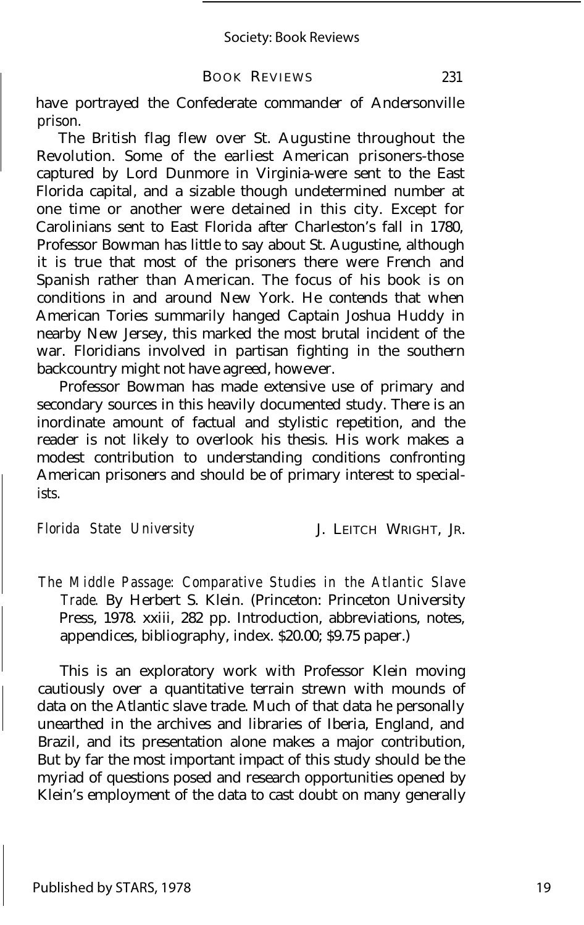#### BOOK REVIEWS 231

have portrayed the Confederate commander of Andersonville prison.

The British flag flew over St. Augustine throughout the Revolution. Some of the earliest American prisoners-those captured by Lord Dunmore in Virginia-were sent to the East Florida capital, and a sizable though undetermined number at one time or another were detained in this city. Except for Carolinians sent to East Florida after Charleston's fall in 1780, Professor Bowman has little to say about St. Augustine, although it is true that most of the prisoners there were French and Spanish rather than American. The focus of his book is on conditions in and around New York. He contends that when American Tories summarily hanged Captain Joshua Huddy in nearby New Jersey, this marked the most brutal incident of the war. Floridians involved in partisan fighting in the southern backcountry might not have agreed, however.

Professor Bowman has made extensive use of primary and secondary sources in this heavily documented study. There is an inordinate amount of factual and stylistic repetition, and the reader is not likely to overlook his thesis. His work makes a modest contribution to understanding conditions confronting American prisoners and should be of primary interest to specialists.

*Florida State University* J. LEITCH WRIGHT, JR.

*The Middle Passage: Comparative Studies in the Atlantic Slave Trade.* By Herbert S. Klein. (Princeton: Princeton University Press, 1978. xxiii, 282 pp. Introduction, abbreviations, notes, appendices, bibliography, index. \$20.00; \$9.75 paper.)

This is an exploratory work with Professor Klein moving cautiously over a quantitative terrain strewn with mounds of data on the Atlantic slave trade. Much of that data he personally unearthed in the archives and libraries of Iberia, England, and Brazil, and its presentation alone makes a major contribution, But by far the most important impact of this study should be the myriad of questions posed and research opportunities opened by Klein's employment of the data to cast doubt on many generally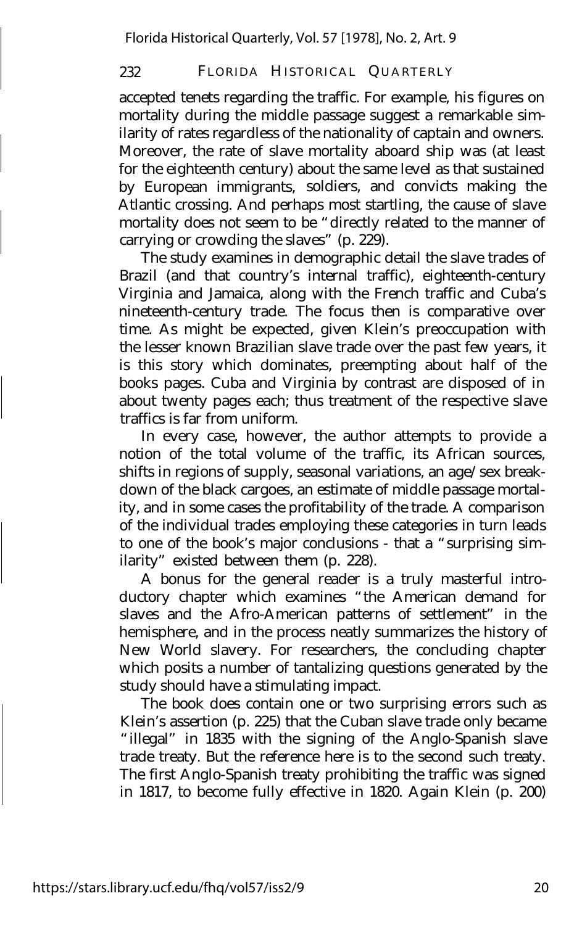Florida Historical Quarterly, Vol. 57 [1978], No. 2, Art. 9

# 232 FLORIDA HISTORICAL QUARTERLY

accepted tenets regarding the traffic. For example, his figures on mortality during the middle passage suggest a remarkable similarity of rates regardless of the nationality of captain and owners. Moreover, the rate of slave mortality aboard ship was (at least for the eighteenth century) about the same level as that sustained by European immigrants, soldiers, and convicts making the Atlantic crossing. And perhaps most startling, the cause of slave mortality does not seem to be "directly related to the manner of carrying or crowding the slaves" (p. 229).

The study examines in demographic detail the slave trades of Brazil (and that country's internal traffic), eighteenth-century Virginia and Jamaica, along with the French traffic and Cuba's nineteenth-century trade. The focus then is comparative over time. As might be expected, given Klein's preoccupation with the lesser known Brazilian slave trade over the past few years, it is this story which dominates, preempting about half of the books pages. Cuba and Virginia by contrast are disposed of in about twenty pages each; thus treatment of the respective slave traffics is far from uniform.

In every case, however, the author attempts to provide a notion of the total volume of the traffic, its African sources, shifts in regions of supply, seasonal variations, an age/sex breakdown of the black cargoes, an estimate of middle passage mortality, and in some cases the profitability of the trade. A comparison of the individual trades employing these categories in turn leads to one of the book's major conclusions - that a "surprising similarity" existed between them (p. 228).

A bonus for the general reader is a truly masterful introductory chapter which examines "the American demand for slaves and the Afro-American patterns of settlement" in the hemisphere, and in the process neatly summarizes the history of New World slavery. For researchers, the concluding chapter which posits a number of tantalizing questions generated by the study should have a stimulating impact.

The book does contain one or two surprising errors such as Klein's assertion (p. 225) that the Cuban slave trade only became "illegal" in 1835 with the signing of the Anglo-Spanish slave trade treaty. But the reference here is to the second such treaty. The first Anglo-Spanish treaty prohibiting the traffic was signed in 1817, to become fully effective in 1820. Again Klein (p. 200)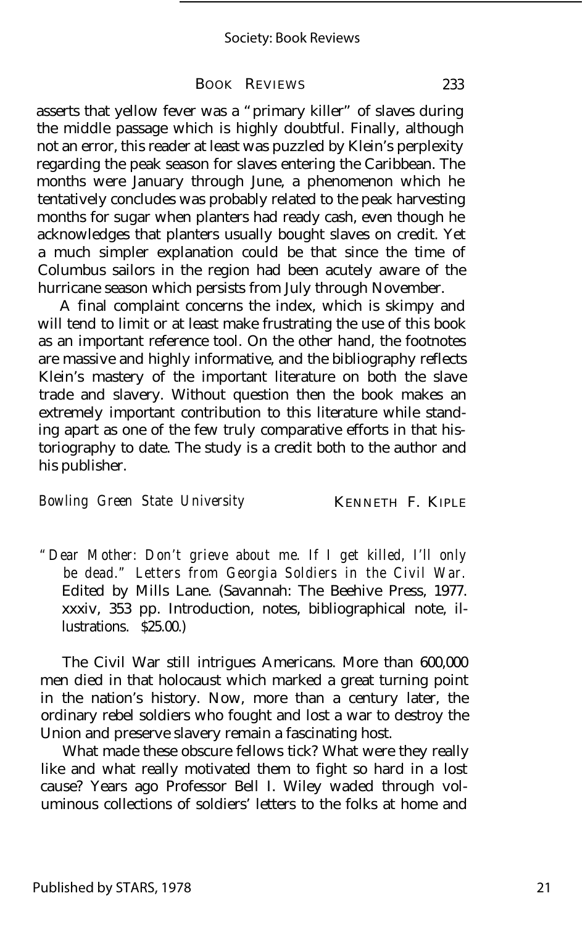#### BOOK REVIEWS 233

asserts that yellow fever was a "primary killer" of slaves during the middle passage which is highly doubtful. Finally, although not an error, this reader at least was puzzled by Klein's perplexity regarding the peak season for slaves entering the Caribbean. The months were January through June, a phenomenon which he tentatively concludes was probably related to the peak harvesting months for sugar when planters had ready cash, even though he acknowledges that planters usually bought slaves on credit. Yet a much simpler explanation could be that since the time of Columbus sailors in the region had been acutely aware of the hurricane season which persists from July through November.

A final complaint concerns the index, which is skimpy and will tend to limit or at least make frustrating the use of this book as an important reference tool. On the other hand, the footnotes are massive and highly informative, and the bibliography reflects Klein's mastery of the important literature on both the slave trade and slavery. Without question then the book makes an extremely important contribution to this literature while standing apart as one of the few truly comparative efforts in that historiography to date. The study is a credit both to the author and his publisher.

*Bowling Green State University* **KENNETH F. KIPLE** 

*"Dear Mother: Don't grieve about me. If I get killed, I'll only be dead." Letters from Georgia Soldiers in the Civil War.* Edited by Mills Lane. (Savannah: The Beehive Press, 1977. xxxiv, 353 pp. Introduction, notes, bibliographical note, illustrations. \$25.00.)

The Civil War still intrigues Americans. More than 600,000 men died in that holocaust which marked a great turning point in the nation's history. Now, more than a century later, the ordinary rebel soldiers who fought and lost a war to destroy the Union and preserve slavery remain a fascinating host.

What made these obscure fellows tick? What were they really like and what really motivated them to fight so hard in a lost cause? Years ago Professor Bell I. Wiley waded through voluminous collections of soldiers' letters to the folks at home and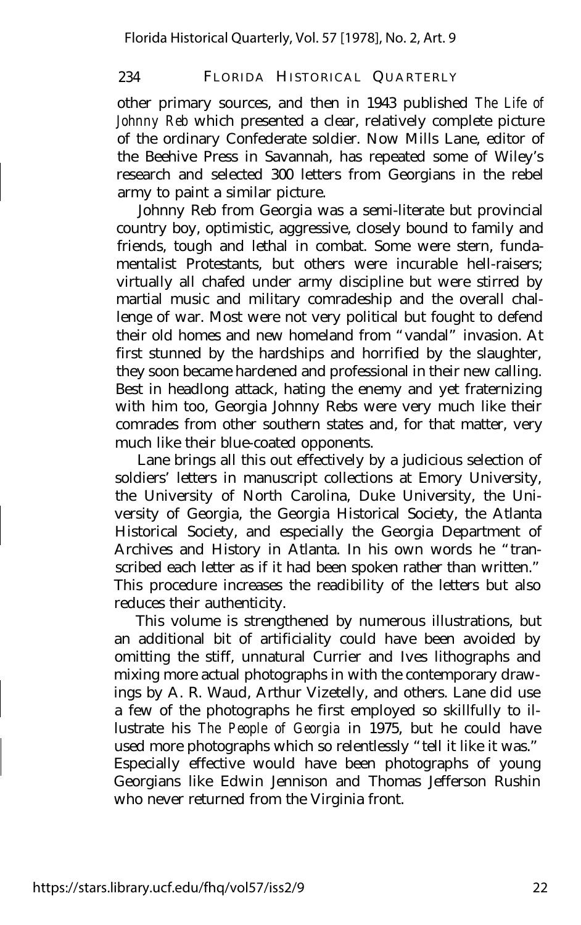other primary sources, and then in 1943 published *The Life of Johnny Reb* which presented a clear, relatively complete picture of the ordinary Confederate soldier. Now Mills Lane, editor of the Beehive Press in Savannah, has repeated some of Wiley's research and selected 300 letters from Georgians in the rebel army to paint a similar picture.

Johnny Reb from Georgia was a semi-literate but provincial country boy, optimistic, aggressive, closely bound to family and friends, tough and lethal in combat. Some were stern, fundamentalist Protestants, but others were incurable hell-raisers; virtually all chafed under army discipline but were stirred by martial music and military comradeship and the overall challenge of war. Most were not very political but fought to defend their old homes and new homeland from "vandal" invasion. At first stunned by the hardships and horrified by the slaughter, they soon became hardened and professional in their new calling. Best in headlong attack, hating the enemy and yet fraternizing with him too, Georgia Johnny Rebs were very much like their comrades from other southern states and, for that matter, very much like their blue-coated opponents.

Lane brings all this out effectively by a judicious selection of soldiers' letters in manuscript collections at Emory University, the University of North Carolina, Duke University, the University of Georgia, the Georgia Historical Society, the Atlanta Historical Society, and especially the Georgia Department of Archives and History in Atlanta. In his own words he "transcribed each letter as if it had been spoken rather than written." This procedure increases the readibility of the letters but also reduces their authenticity.

This volume is strengthened by numerous illustrations, but an additional bit of artificiality could have been avoided by omitting the stiff, unnatural Currier and Ives lithographs and mixing more actual photographs in with the contemporary drawings by A. R. Waud, Arthur Vizetelly, and others. Lane did use a few of the photographs he first employed so skillfully to illustrate his *The People of Georgia* in 1975, but he could have used more photographs which so relentlessly "tell it like it was." Especially effective would have been photographs of young Georgians like Edwin Jennison and Thomas Jefferson Rushin who never returned from the Virginia front.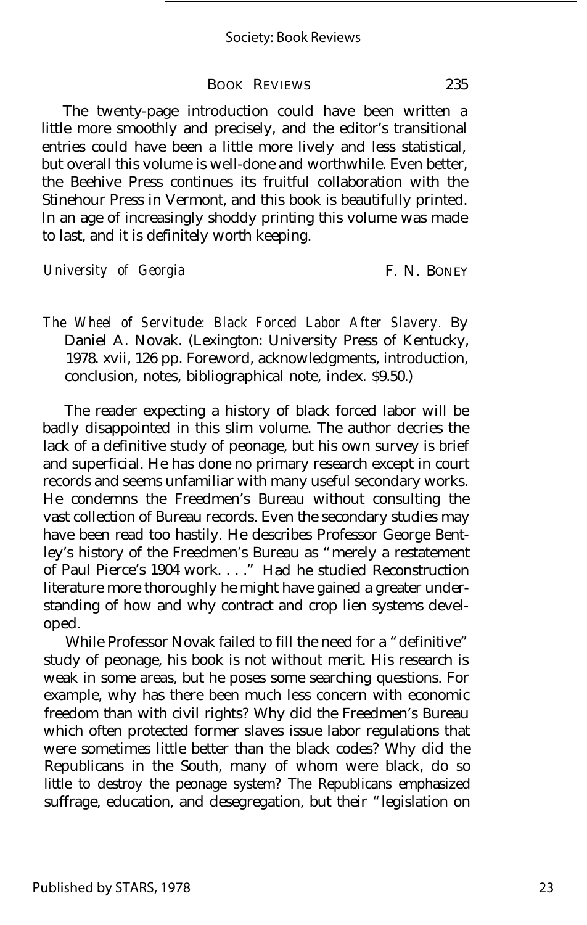BOOK REVIEWS 235

The twenty-page introduction could have been written a little more smoothly and precisely, and the editor's transitional entries could have been a little more lively and less statistical, but overall this volume is well-done and worthwhile. Even better, the Beehive Press continues its fruitful collaboration with the Stinehour Press in Vermont, and this book is beautifully printed. In an age of increasingly shoddy printing this volume was made to last, and it is definitely worth keeping.

*University of Georgia* F. N. BONEY

*The Wheel of Servitude: Black Forced Labor After Slavery.* By Daniel A. Novak. (Lexington: University Press of Kentucky, 1978. xvii, 126 pp. Foreword, acknowledgments, introduction, conclusion, notes, bibliographical note, index. \$9.50.)

The reader expecting a history of black forced labor will be badly disappointed in this slim volume. The author decries the lack of a definitive study of peonage, but his own survey is brief and superficial. He has done no primary research except in court records and seems unfamiliar with many useful secondary works. He condemns the Freedmen's Bureau without consulting the vast collection of Bureau records. Even the secondary studies may have been read too hastily. He describes Professor George Bentley's history of the Freedmen's Bureau as "merely a restatement of Paul Pierce's 1904 work. . . ." Had he studied Reconstruction literature more thoroughly he might have gained a greater understanding of how and why contract and crop lien systems developed.

While Professor Novak failed to fill the need for a "definitive" study of peonage, his book is not without merit. His research is weak in some areas, but he poses some searching questions. For example, why has there been much less concern with economic freedom than with civil rights? Why did the Freedmen's Bureau which often protected former slaves issue labor regulations that were sometimes little better than the black codes? Why did the Republicans in the South, many of whom were black, do so little to destroy the peonage system? The Republicans emphasized suffrage, education, and desegregation, but their "legislation on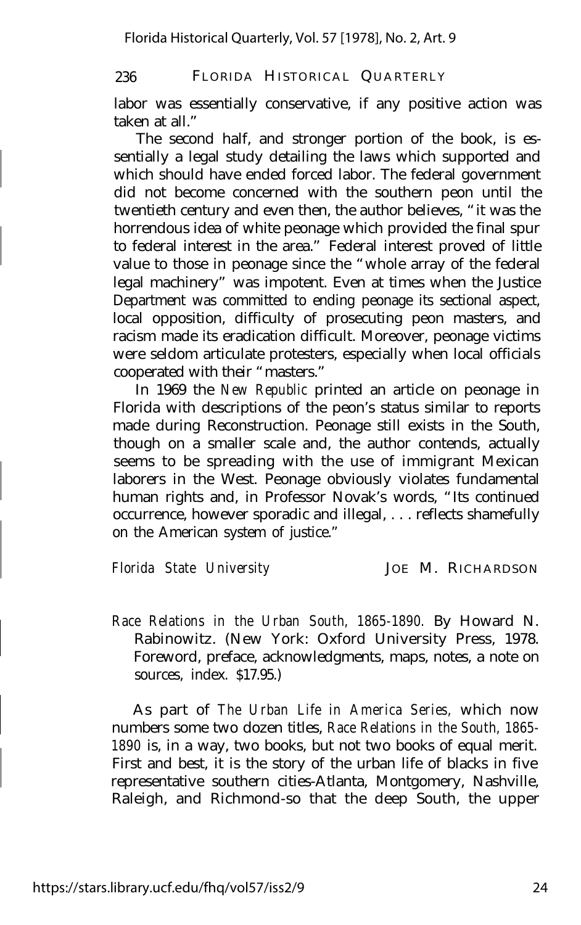labor was essentially conservative, if any positive action was taken at all."

The second half, and stronger portion of the book, is essentially a legal study detailing the laws which supported and which should have ended forced labor. The federal government did not become concerned with the southern peon until the twentieth century and even then, the author believes, "it was the horrendous idea of white peonage which provided the final spur to federal interest in the area." Federal interest proved of little value to those in peonage since the "whole array of the federal legal machinery" was impotent. Even at times when the Justice Department was committed to ending peonage its sectional aspect, local opposition, difficulty of prosecuting peon masters, and racism made its eradication difficult. Moreover, peonage victims were seldom articulate protesters, especially when local officials cooperated with their "masters."

In 1969 the *New Republic* printed an article on peonage in Florida with descriptions of the peon's status similar to reports made during Reconstruction. Peonage still exists in the South, though on a smaller scale and, the author contends, actually seems to be spreading with the use of immigrant Mexican laborers in the West. Peonage obviously violates fundamental human rights and, in Professor Novak's words, "Its continued occurrence, however sporadic and illegal, . . . reflects shamefully on the American system of justice."

*Florida State University* JOE M. RICHARDSON

*Race Relations in the Urban South, 1865-1890.* By Howard N. Rabinowitz. (New York: Oxford University Press, 1978. Foreword, preface, acknowledgments, maps, notes, a note on sources, index. \$17.95.)

As part of *The Urban Life in America Series,* which now numbers some two dozen titles, *Race Relations in the South, 1865- 1890* is, in a way, two books, but not two books of equal merit. First and best, it is the story of the urban life of blacks in five representative southern cities-Atlanta, Montgomery, Nashville, Raleigh, and Richmond-so that the deep South, the upper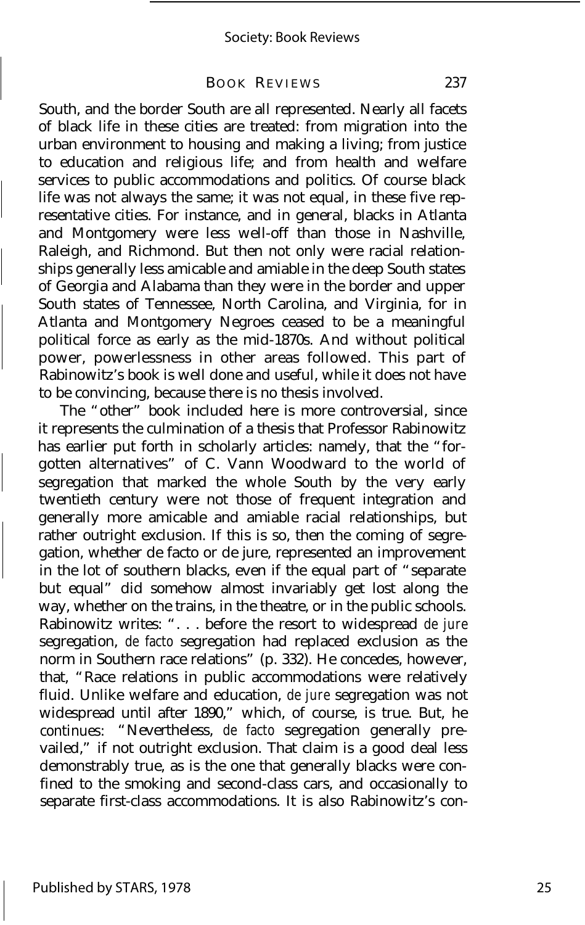#### BO OK REVIEWS 237

South, and the border South are all represented. Nearly all facets of black life in these cities are treated: from migration into the urban environment to housing and making a living; from justice to education and religious life; and from health and welfare services to public accommodations and politics. Of course black life was not always the same; it was not equal, in these five representative cities. For instance, and in general, blacks in Atlanta and Montgomery were less well-off than those in Nashville, Raleigh, and Richmond. But then not only were racial relationships generally less amicable and amiable in the deep South states of Georgia and Alabama than they were in the border and upper South states of Tennessee, North Carolina, and Virginia, for in Atlanta and Montgomery Negroes ceased to be a meaningful political force as early as the mid-1870s. And without political power, powerlessness in other areas followed. This part of Rabinowitz's book is well done and useful, while it does not have to be convincing, because there is no thesis involved.

The "other" book included here is more controversial, since it represents the culmination of a thesis that Professor Rabinowitz has earlier put forth in scholarly articles: namely, that the "forgotten alternatives" of C. Vann Woodward to the world of segregation that marked the whole South by the very early twentieth century were not those of frequent integration and generally more amicable and amiable racial relationships, but rather outright exclusion. If this is so, then the coming of segregation, whether de facto or de jure, represented an improvement in the lot of southern blacks, even if the equal part of "separate but equal" did somehow almost invariably get lost along the way, whether on the trains, in the theatre, or in the public schools. Rabinowitz writes: ". . . before the resort to widespread *de jure* segregation, *de facto* segregation had replaced exclusion as the norm in Southern race relations" (p. 332). He concedes, however, that, "Race relations in public accommodations were relatively fluid. Unlike welfare and education, *de jure* segregation was not widespread until after 1890," which, of course, is true. But, he continues: "Nevertheless, *de facto* segregation generally prevailed," if not outright exclusion. That claim is a good deal less demonstrably true, as is the one that generally blacks were confined to the smoking and second-class cars, and occasionally to separate first-class accommodations. It is also Rabinowitz's con-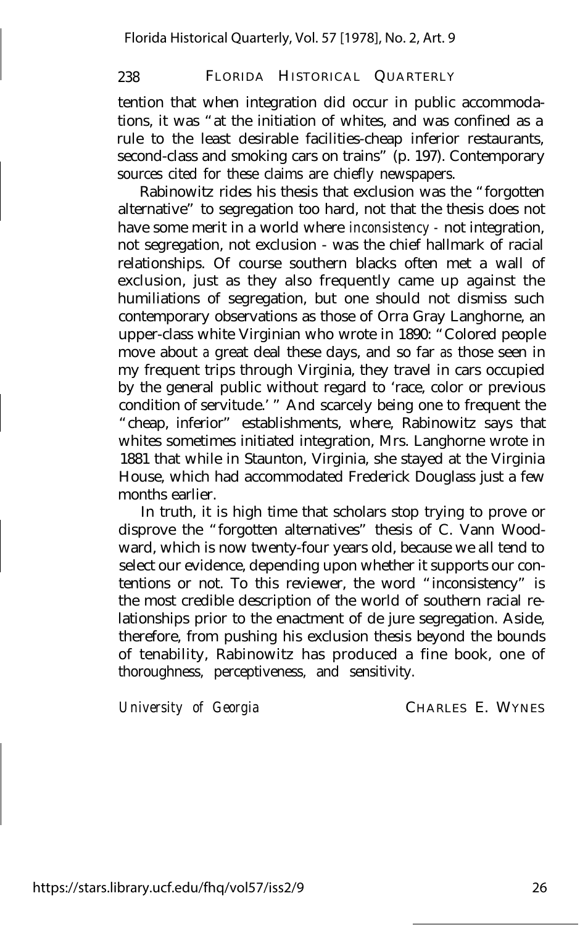tention that when integration did occur in public accommodations, it was "at the initiation of whites, and was confined as a rule to the least desirable facilities-cheap inferior restaurants, second-class and smoking cars on trains" (p. 197). Contemporary sources cited for these claims are chiefly newspapers.

Rabinowitz rides his thesis that exclusion was the "forgotten alternative" to segregation too hard, not that the thesis does not have some merit in a world where *inconsistency -* not integration, not segregation, not exclusion - was the chief hallmark of racial relationships. Of course southern blacks often met a wall of exclusion, just as they also frequently came up against the humiliations of segregation, but one should not dismiss such contemporary observations as those of Orra Gray Langhorne, an upper-class white Virginian who wrote in 1890: "Colored people move about *a* great deal these days, and so far *as* those seen in my frequent trips through Virginia, they travel in cars occupied by the general public without regard to 'race, color or previous condition of servitude.' " And scarcely being one to frequent the "cheap, inferior" establishments, where, Rabinowitz says that whites sometimes initiated integration, Mrs. Langhorne wrote in 1881 that while in Staunton, Virginia, she stayed at the Virginia House, which had accommodated Frederick Douglass just a few months earlier.

In truth, it is high time that scholars stop trying to prove or disprove the "forgotten alternatives" thesis of C. Vann Woodward, which is now twenty-four years old, because we all tend to select our evidence, depending upon whether it supports our contentions or not. To this reviewer, the word "inconsistency" is the most credible description of the world of southern racial relationships prior to the enactment of de jure segregation. Aside, therefore, from pushing his exclusion thesis beyond the bounds of tenability, Rabinowitz has produced a fine book, one of thoroughness, perceptiveness, and sensitivity.

*University of Georgia* CHARLES E. WYNES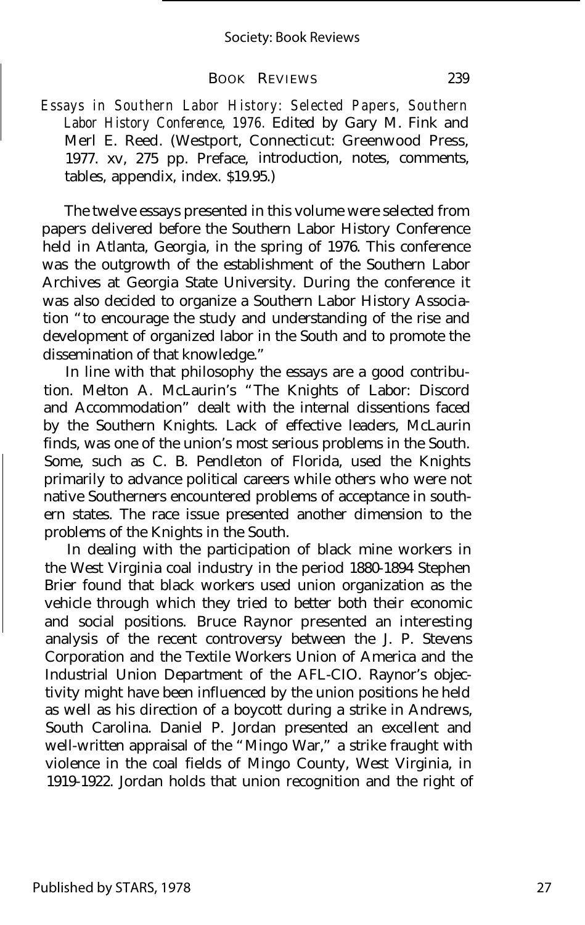#### BOOK REVIEWS 239

*Essays in Southern Labor History: Selected Papers, Southern Labor History Conference, 1976.* Edited by Gary M. Fink and Merl E. Reed. (Westport, Connecticut: Greenwood Press, 1977. xv, 275 pp. Preface, introduction, notes, comments, tables, appendix, index. \$19.95.)

The twelve essays presented in this volume were selected from papers delivered before the Southern Labor History Conference held in Atlanta, Georgia, in the spring of 1976. This conference was the outgrowth of the establishment of the Southern Labor Archives at Georgia State University. During the conference it was also decided to organize a Southern Labor History Association "to encourage the study and understanding of the rise and development of organized labor in the South and to promote the dissemination of that knowledge."

In line with that philosophy the essays are a good contribution. Melton A. McLaurin's "The Knights of Labor: Discord and Accommodation" dealt with the internal dissentions faced by the Southern Knights. Lack of effective leaders, McLaurin finds, was one of the union's most serious problems in the South. Some, such as C. B. Pendleton of Florida, used the Knights primarily to advance political careers while others who were not native Southerners encountered problems of acceptance in southern states. The race issue presented another dimension to the problems of the Knights in the South.

In dealing with the participation of black mine workers in the West Virginia coal industry in the period 1880-1894 Stephen Brier found that black workers used union organization as the vehicle through which they tried to better both their economic and social positions. Bruce Raynor presented an interesting analysis of the recent controversy between the J. P. Stevens Corporation and the Textile Workers Union of America and the Industrial Union Department of the AFL-CIO. Raynor's objectivity might have been influenced by the union positions he held as well as his direction of a boycott during a strike in Andrews, South Carolina. Daniel P. Jordan presented an excellent and well-written appraisal of the "Mingo War," a strike fraught with violence in the coal fields of Mingo County, West Virginia, in 1919-1922. Jordan holds that union recognition and the right of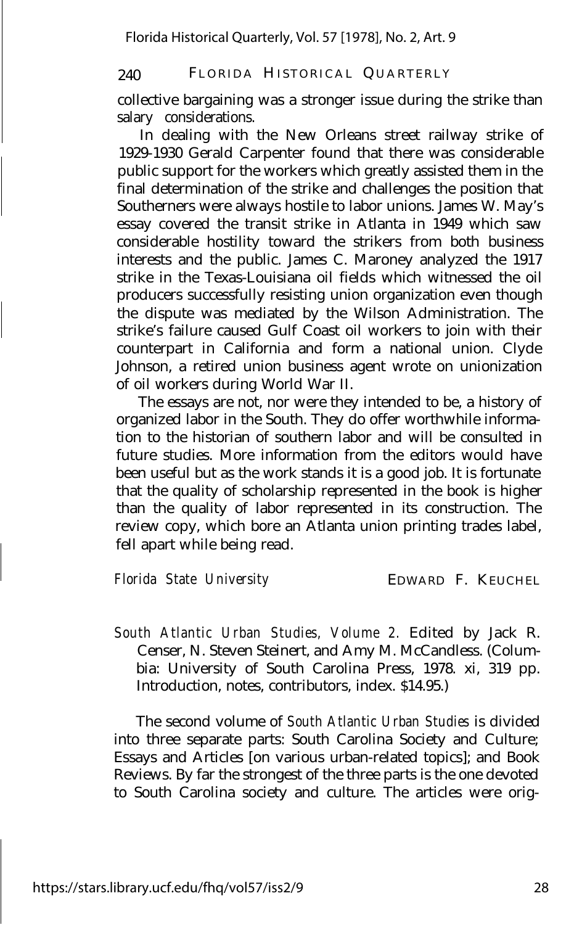collective bargaining was a stronger issue during the strike than salary considerations.

In dealing with the New Orleans street railway strike of 1929-1930 Gerald Carpenter found that there was considerable public support for the workers which greatly assisted them in the final determination of the strike and challenges the position that Southerners were always hostile to labor unions. James W. May's essay covered the transit strike in Atlanta in 1949 which saw considerable hostility toward the strikers from both business interests and the public. James C. Maroney analyzed the 1917 strike in the Texas-Louisiana oil fields which witnessed the oil producers successfully resisting union organization even though the dispute was mediated by the Wilson Administration. The strike's failure caused Gulf Coast oil workers to join with their counterpart in California and form a national union. Clyde Johnson, a retired union business agent wrote on unionization of oil workers during World War II.

The essays are not, nor were they intended to be, a history of organized labor in the South. They do offer worthwhile information to the historian of southern labor and will be consulted in future studies. More information from the editors would have been useful but as the work stands it is a good job. It is fortunate that the quality of scholarship represented in the book is higher than the quality of labor represented in its construction. The review copy, which bore an Atlanta union printing trades label, fell apart while being read.

*Florida State University* EDWARD F. KEUCHEL

*South Atlantic Urban Studies, Volume 2.* Edited by Jack R. Censer, N. Steven Steinert, and Amy M. McCandless. (Columbia: University of South Carolina Press, 1978. xi, 319 pp. Introduction, notes, contributors, index. \$14.95.)

The second volume of *South Atlantic Urban Studies* is divided into three separate parts: South Carolina Society and Culture; Essays and Articles [on various urban-related topics]; and Book Reviews. By far the strongest of the three parts is the one devoted to South Carolina society and culture. The articles were orig-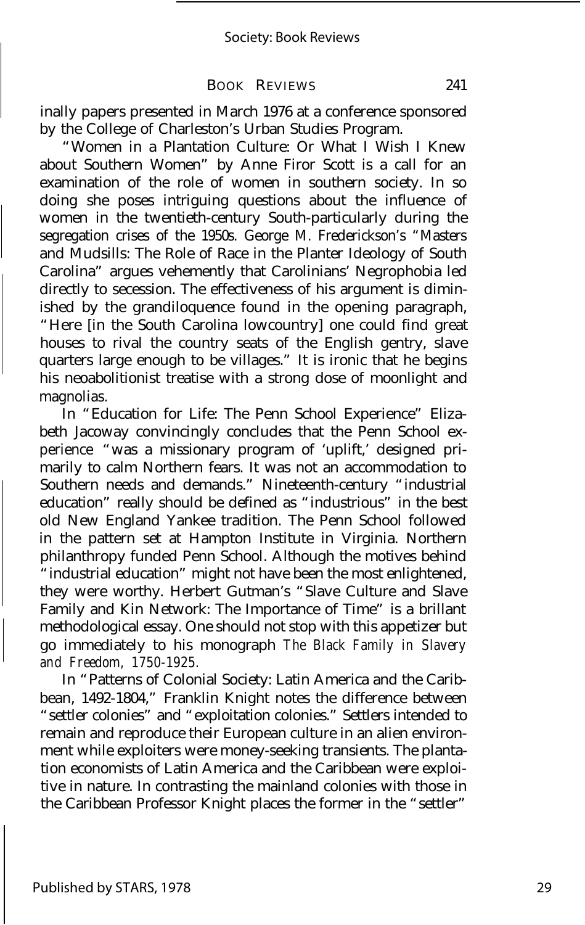#### BOOK REVIEWS 241

inally papers presented in March 1976 at a conference sponsored by the College of Charleston's Urban Studies Program.

"Women in a Plantation Culture: Or What I Wish I Knew about Southern Women" by Anne Firor Scott is a call for an examination of the role of women in southern society. In so doing she poses intriguing questions about the influence of women in the twentieth-century South-particularly during the segregation crises of the 1950s. George M. Frederickson's "Masters and Mudsills: The Role of Race in the Planter Ideology of South Carolina" argues vehemently that Carolinians' Negrophobia led directly to secession. The effectiveness of his argument is diminished by the grandiloquence found in the opening paragraph, "Here [in the South Carolina lowcountry] one could find great houses to rival the country seats of the English gentry, slave quarters large enough to be villages." It is ironic that he begins his neoabolitionist treatise with a strong dose of moonlight and magnolias.

In "Education for Life: The Penn School Experience" Elizabeth Jacoway convincingly concludes that the Penn School experience "was a missionary program of 'uplift,' designed primarily to calm Northern fears. It was not an accommodation to Southern needs and demands." Nineteenth-century "industrial education" really should be defined as "industrious" in the best old New England Yankee tradition. The Penn School followed in the pattern set at Hampton Institute in Virginia. Northern philanthropy funded Penn School. Although the motives behind industrial education" might not have been the most enlightened, they were worthy. Herbert Gutman's "Slave Culture and Slave Family and Kin Network: The Importance of Time" is a brillant methodological essay. One should not stop with this appetizer but go immediately to his monograph *The Black Family in Slavery and Freedom, 1750-1925.*

In "Patterns of Colonial Society: Latin America and the Caribbean, 1492-1804," Franklin Knight notes the difference between "settler colonies" and "exploitation colonies." Settlers intended to remain and reproduce their European culture in an alien environment while exploiters were money-seeking transients. The plantation economists of Latin America and the Caribbean were exploitive in nature. In contrasting the mainland colonies with those in the Caribbean Professor Knight places the former in the "settler"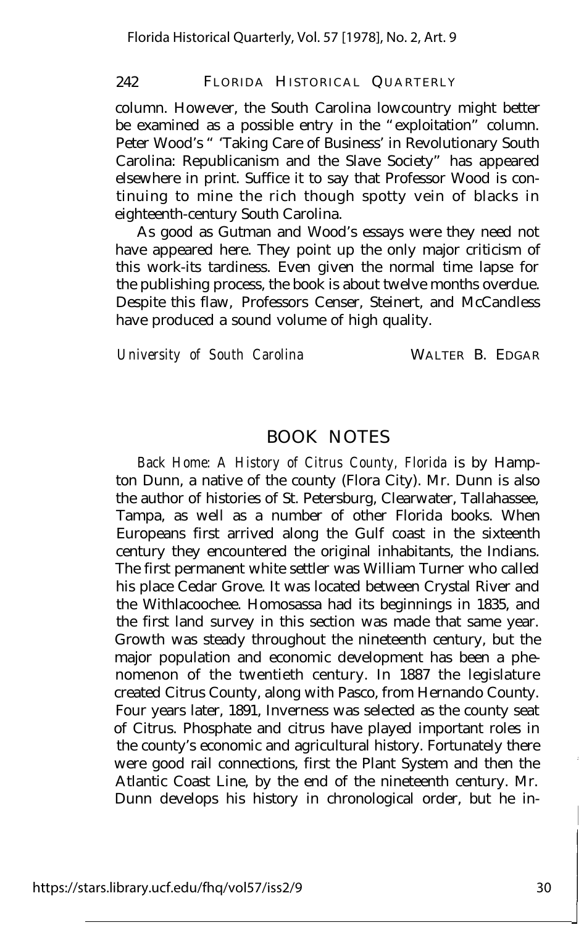column. However, the South Carolina lowcountry might better be examined as a possible entry in the "exploitation" column. Peter Wood's " 'Taking Care of Business' in Revolutionary South Carolina: Republicanism and the Slave Society" has appeared elsewhere in print. Suffice it to say that Professor Wood is continuing to mine the rich though spotty vein of blacks in eighteenth-century South Carolina.

As good as Gutman and Wood's essays were they need not have appeared here. They point up the only major criticism of this work-its tardiness. Even given the normal time lapse for the publishing process, the book is about twelve months overdue. Despite this flaw, Professors Censer, Steinert, and McCandless have produced a sound volume of high quality.

*University of South Carolina* WALTER B. EDGAR

# BOOK NOTES

*Back Home: A History of Citrus County, Florida* is by Hampton Dunn, a native of the county (Flora City). Mr. Dunn is also the author of histories of St. Petersburg, Clearwater, Tallahassee, Tampa, as well as a number of other Florida books. When Europeans first arrived along the Gulf coast in the sixteenth century they encountered the original inhabitants, the Indians. The first permanent white settler was William Turner who called his place Cedar Grove. It was located between Crystal River and the Withlacoochee. Homosassa had its beginnings in 1835, and the first land survey in this section was made that same year. Growth was steady throughout the nineteenth century, but the major population and economic development has been a phenomenon of the twentieth century. In 1887 the legislature created Citrus County, along with Pasco, from Hernando County. Four years later, 1891, Inverness was selected as the county seat of Citrus. Phosphate and citrus have played important roles in the county's economic and agricultural history. Fortunately there were good rail connections, first the Plant System and then the Atlantic Coast Line, by the end of the nineteenth century. Mr. Dunn develops his history in chronological order, but he in-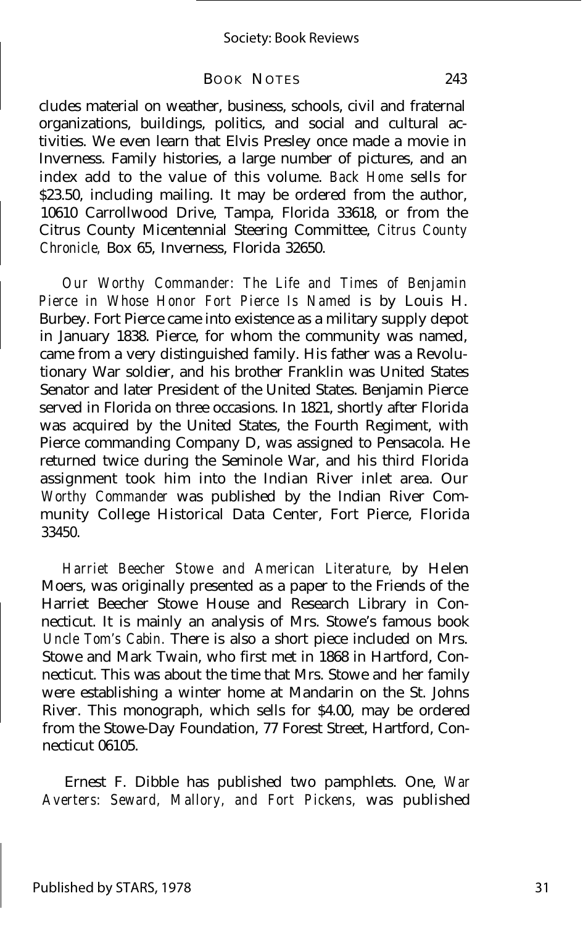#### BOOK NOTES 243

cludes material on weather, business, schools, civil and fraternal organizations, buildings, politics, and social and cultural activities. We even learn that Elvis Presley once made a movie in Inverness. Family histories, a large number of pictures, and an index add to the value of this volume. *Back Home* sells for \$23.50, including mailing. It may be ordered from the author, 10610 Carrollwood Drive, Tampa, Florida 33618, or from the Citrus County Micentennial Steering Committee, *Citrus County Chronicle,* Box 65, Inverness, Florida 32650.

*Our Worthy Commander: The Life and Times of Benjamin Pierce in Whose Honor Fort Pierce Is Named* is by Louis H. Burbey. Fort Pierce came into existence as a military supply depot in January 1838. Pierce, for whom the community was named, came from a very distinguished family. His father was a Revolutionary War soldier, and his brother Franklin was United States Senator and later President of the United States. Benjamin Pierce served in Florida on three occasions. In 1821, shortly after Florida was acquired by the United States, the Fourth Regiment, with Pierce commanding Company D, was assigned to Pensacola. He returned twice during the Seminole War, and his third Florida assignment took him into the Indian River inlet area. Our *Worthy Commander* was published by the Indian River Community College Historical Data Center, Fort Pierce, Florida 33450.

*Harriet Beecher Stowe and American Literature,* by Helen Moers, was originally presented as a paper to the Friends of the Harriet Beecher Stowe House and Research Library in Connecticut. It is mainly an analysis of Mrs. Stowe's famous book *Uncle Tom's Cabin.* There is also a short piece included on Mrs. Stowe and Mark Twain, who first met in 1868 in Hartford, Connecticut. This was about the time that Mrs. Stowe and her family were establishing a winter home at Mandarin on the St. Johns River. This monograph, which sells for \$4.00, may be ordered from the Stowe-Day Foundation, 77 Forest Street, Hartford, Connecticut 06105.

Ernest F. Dibble has published two pamphlets. One, *War Averters: Seward, Mallory, and Fort Pickens,* was published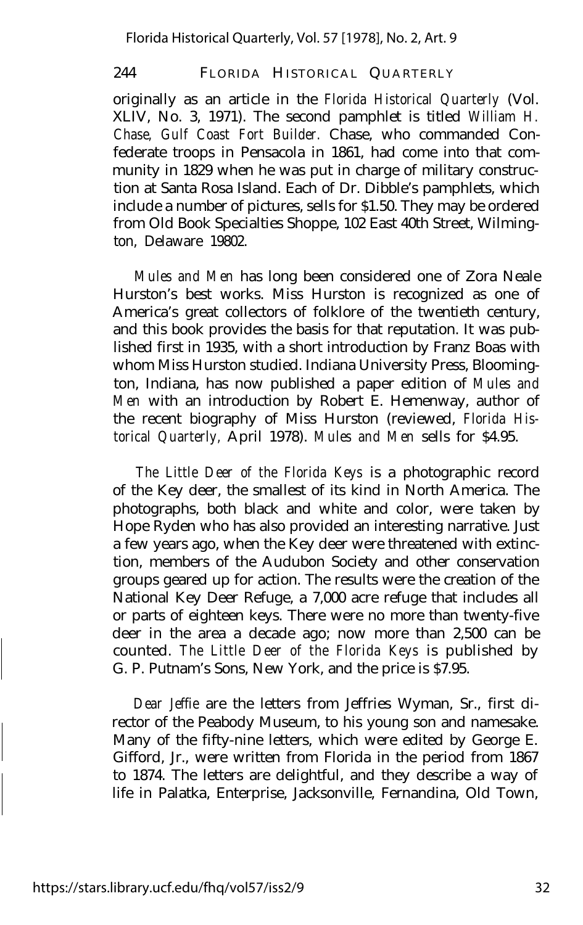originally as an article in the *Florida Historical Quarterly* (Vol. XLIV, No. 3, 1971). The second pamphlet is titled *William H. Chase, Gulf Coast Fort Builder.* Chase, who commanded Confederate troops in Pensacola in 1861, had come into that community in 1829 when he was put in charge of military construction at Santa Rosa Island. Each of Dr. Dibble's pamphlets, which include a number of pictures, sells for \$1.50. They may be ordered from Old Book Specialties Shoppe, 102 East 40th Street, Wilmington, Delaware 19802.

*Mules and Men* has long been considered one of Zora Neale Hurston's best works. Miss Hurston is recognized as one of America's great collectors of folklore of the twentieth century, and this book provides the basis for that reputation. It was published first in 1935, with a short introduction by Franz Boas with whom Miss Hurston studied. Indiana University Press, Bloomington, Indiana, has now published a paper edition of *Mules and Men* with an introduction by Robert E. Hemenway, author of the recent biography of Miss Hurston (reviewed, *Florida Historical Quarterly,* April 1978). *Mules and Men* sells for \$4.95.

*The Little Deer of the Florida Keys* is a photographic record of the Key deer, the smallest of its kind in North America. The photographs, both black and white and color, were taken by Hope Ryden who has also provided an interesting narrative. Just a few years ago, when the Key deer were threatened with extinction, members of the Audubon Society and other conservation groups geared up for action. The results were the creation of the National Key Deer Refuge, a 7,000 acre refuge that includes all or parts of eighteen keys. There were no more than twenty-five deer in the area a decade ago; now more than 2,500 can be counted. *The Little Deer of the Florida Keys* is published by G. P. Putnam's Sons, New York, and the price is \$7.95.

*Dear Jeffie* are the letters from Jeffries Wyman, Sr., first director of the Peabody Museum, to his young son and namesake. Many of the fifty-nine letters, which were edited by George E. Gifford, Jr., were written from Florida in the period from 1867 to 1874. The letters are delightful, and they describe a way of life in Palatka, Enterprise, Jacksonville, Fernandina, Old Town,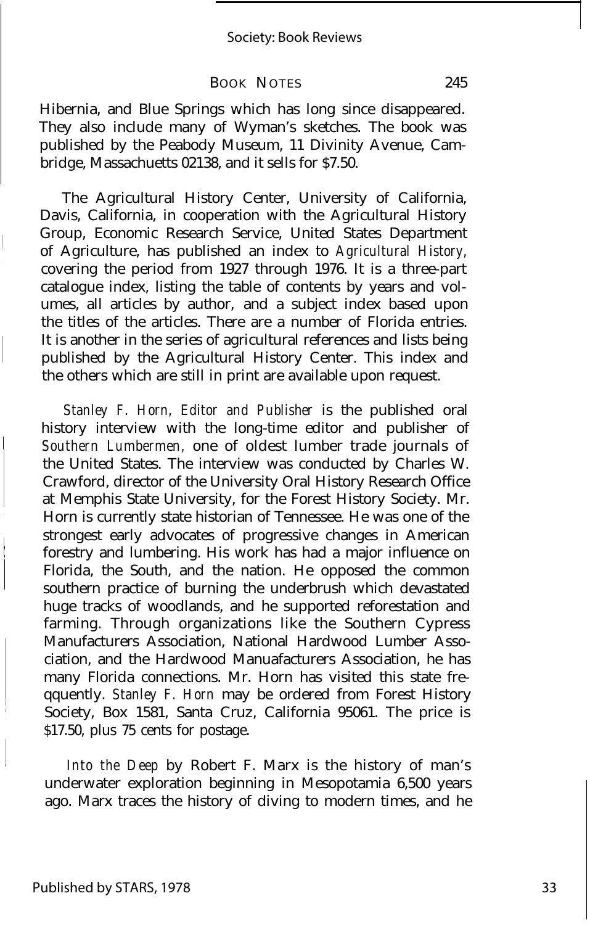#### BOOK NOTES 245

Hibernia, and Blue Springs which has long since disappeared. They also include many of Wyman's sketches. The book was published by the Peabody Museum, 11 Divinity Avenue, Cambridge, Massachuetts 02138, and it sells for \$7.50.

The Agricultural History Center, University of California, Davis, California, in cooperation with the Agricultural History Group, Economic Research Service, United States Department of Agriculture, has published an index to *Agricultural History,* covering the period from 1927 through 1976. It is a three-part catalogue index, listing the table of contents by years and volumes, all articles by author, and a subject index based upon the titles of the articles. There are a number of Florida entries. It is another in the series of agricultural references and lists being published by the Agricultural History Center. This index and the others which are still in print are available upon request.

*Stanley F. Horn, Editor and Publisher* is the published oral history interview with the long-time editor and publisher of *Southern Lumbermen,* one of oldest lumber trade journals of the United States. The interview was conducted by Charles W. Crawford, director of the University Oral History Research Office at Memphis State University, for the Forest History Society. Mr. Horn is currently state historian of Tennessee. He was one of the strongest early advocates of progressive changes in American forestry and lumbering. His work has had a major influence on Florida, the South, and the nation. He opposed the common southern practice of burning the underbrush which devastated huge tracks of woodlands, and he supported reforestation and farming. Through organizations like the Southern Cypress Manufacturers Association, National Hardwood Lumber Association, and the Hardwood Manuafacturers Association, he has many Florida connections. Mr. Horn has visited this state freqquently. *Stanley F. Horn* may be ordered from Forest History Society, Box 1581, Santa Cruz, California 95061. The price is \$17.50, plus 75 cents for postage.

*Into the Deep* by Robert F. Marx is the history of man's underwater exploration beginning in Mesopotamia 6,500 years ago. Marx traces the history of diving to modern times, and he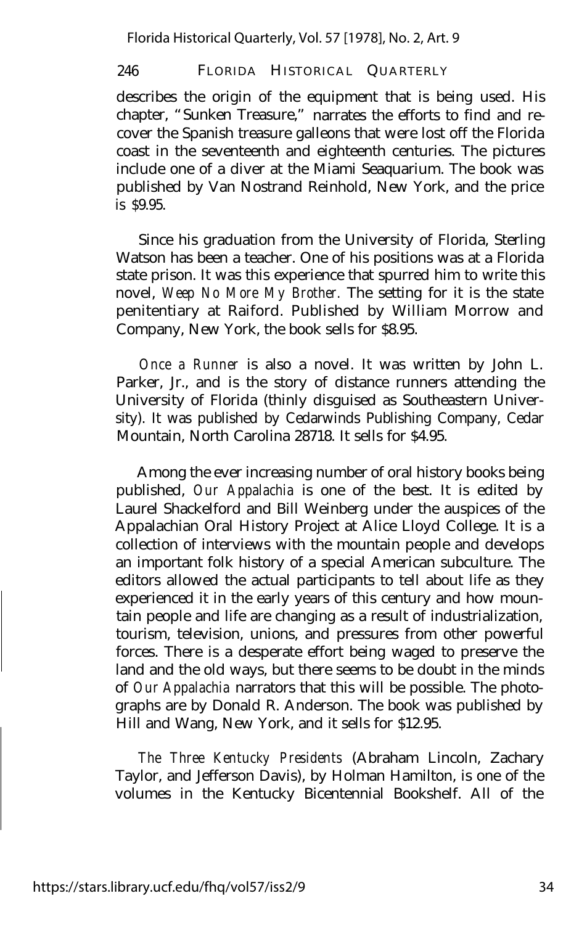Florida Historical Quarterly, Vol. 57 [1978], No. 2, Art. 9

246 FLORIDA HISTORICAL QUARTERLY

describes the origin of the equipment that is being used. His chapter, "Sunken Treasure," narrates the efforts to find and recover the Spanish treasure galleons that were lost off the Florida coast in the seventeenth and eighteenth centuries. The pictures include one of a diver at the Miami Seaquarium. The book was published by Van Nostrand Reinhold, New York, and the price is \$9.95.

Since his graduation from the University of Florida, Sterling Watson has been a teacher. One of his positions was at a Florida state prison. It was this experience that spurred him to write this novel, *Weep No More My Brother.* The setting for it is the state penitentiary at Raiford. Published by William Morrow and Company, New York, the book sells for \$8.95.

*Once a Runner* is also a novel. It was written by John L. Parker, Jr., and is the story of distance runners attending the University of Florida (thinly disguised as Southeastern University). It was published by Cedarwinds Publishing Company, Cedar Mountain, North Carolina 28718. It sells for \$4.95.

Among the ever increasing number of oral history books being published, *Our Appalachia* is one of the best. It is edited by Laurel Shackelford and Bill Weinberg under the auspices of the Appalachian Oral History Project at Alice Lloyd College. It is a collection of interviews with the mountain people and develops an important folk history of a special American subculture. The editors allowed the actual participants to tell about life as they experienced it in the early years of this century and how mountain people and life are changing as a result of industrialization, tourism, television, unions, and pressures from other powerful forces. There is a desperate effort being waged to preserve the land and the old ways, but there seems to be doubt in the minds of *Our Appalachia* narrators that this will be possible. The photographs are by Donald R. Anderson. The book was published by Hill and Wang, New York, and it sells for \$12.95.

*The Three Kentucky Presidents* (Abraham Lincoln, Zachary Taylor, and Jefferson Davis), by Holman Hamilton, is one of the volumes in the Kentucky Bicentennial Bookshelf. All of the